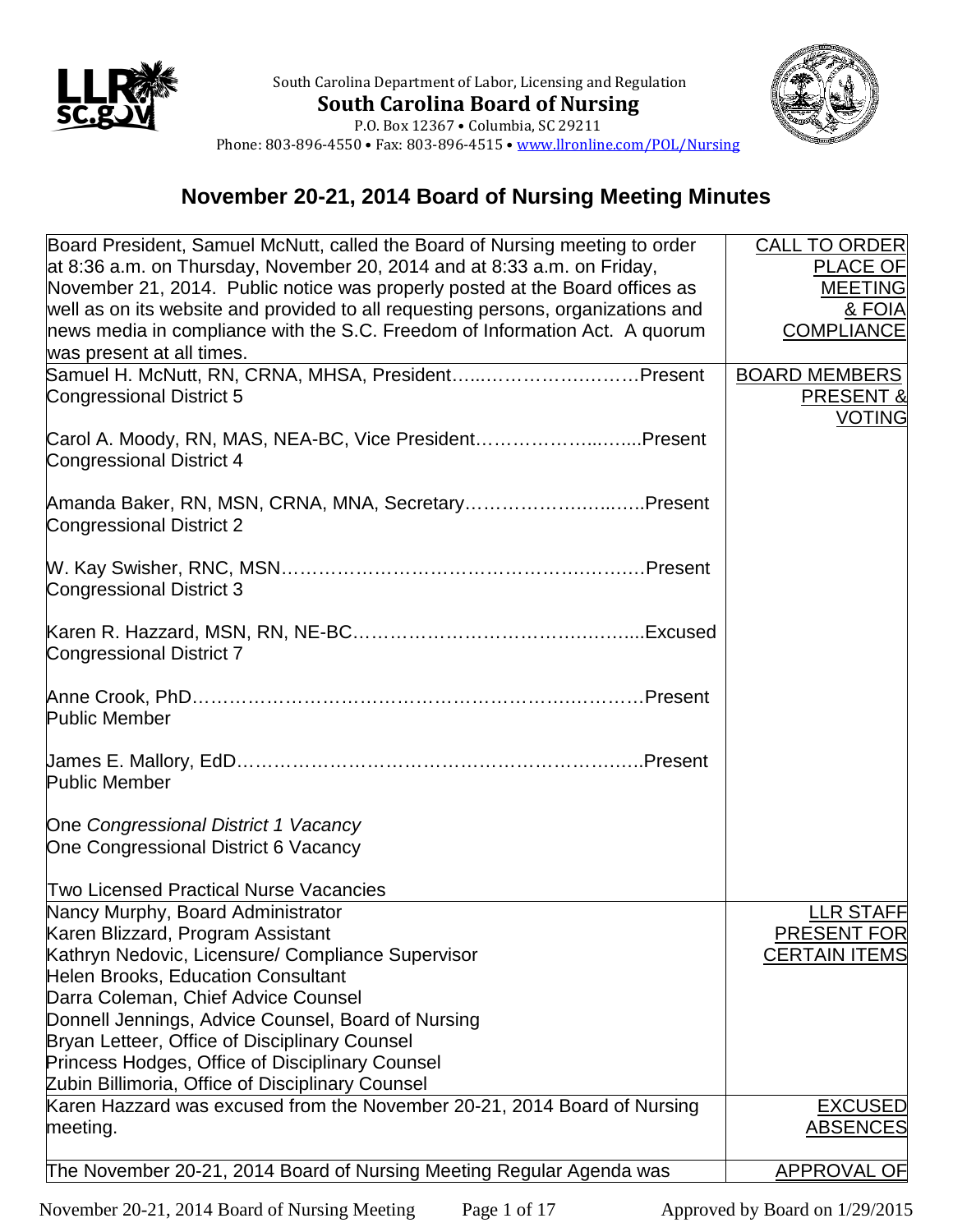



P.O. Box 12367 • Columbia, SC 29211 Phone: 803-896-4550 • Fax: 803-896-4515 • [www.llronline.com/POL/Nursing](http://www.llronline.com/POL/Nursing)

## **November 20-21, 2014 Board of Nursing Meeting Minutes**

| Board President, Samuel McNutt, called the Board of Nursing meeting to order     | <b>CALL TO ORDER</b> |
|----------------------------------------------------------------------------------|----------------------|
| at 8:36 a.m. on Thursday, November 20, 2014 and at 8:33 a.m. on Friday,          | <b>PLACE OF</b>      |
| November 21, 2014. Public notice was properly posted at the Board offices as     | <b>MEETING</b>       |
| well as on its website and provided to all requesting persons, organizations and | & FOIA               |
| news media in compliance with the S.C. Freedom of Information Act. A quorum      | <b>COMPLIANCE</b>    |
| was present at all times.                                                        |                      |
| Samuel H. McNutt, RN, CRNA, MHSA, PresidentPresent                               | <b>BOARD MEMBERS</b> |
| <b>Congressional District 5</b>                                                  | <b>PRESENT &amp;</b> |
|                                                                                  | <b>VOTING</b>        |
| Carol A. Moody, RN, MAS, NEA-BC, Vice PresidentPresent                           |                      |
| <b>Congressional District 4</b>                                                  |                      |
|                                                                                  |                      |
| Amanda Baker, RN, MSN, CRNA, MNA, SecretaryPresent                               |                      |
| <b>Congressional District 2</b>                                                  |                      |
|                                                                                  |                      |
|                                                                                  |                      |
| <b>Congressional District 3</b>                                                  |                      |
|                                                                                  |                      |
|                                                                                  |                      |
| <b>Congressional District 7</b>                                                  |                      |
|                                                                                  |                      |
|                                                                                  |                      |
| <b>Public Member</b>                                                             |                      |
|                                                                                  |                      |
|                                                                                  |                      |
| <b>Public Member</b>                                                             |                      |
| One Congressional District 1 Vacancy                                             |                      |
| One Congressional District 6 Vacancy                                             |                      |
|                                                                                  |                      |
| <b>Two Licensed Practical Nurse Vacancies</b>                                    |                      |
| Nancy Murphy, Board Administrator                                                | LLR STAFF            |
| Karen Blizzard, Program Assistant                                                | PRESENT FOR          |
| Kathryn Nedovic, Licensure/ Compliance Supervisor                                | <b>CERTAIN ITEMS</b> |
| <b>Helen Brooks, Education Consultant</b>                                        |                      |
| Darra Coleman, Chief Advice Counsel                                              |                      |
| Donnell Jennings, Advice Counsel, Board of Nursing                               |                      |
| Bryan Letteer, Office of Disciplinary Counsel                                    |                      |
| Princess Hodges, Office of Disciplinary Counsel                                  |                      |
| Zubin Billimoria, Office of Disciplinary Counsel                                 |                      |
| Karen Hazzard was excused from the November 20-21, 2014 Board of Nursing         | <b>EXCUSED</b>       |
| meeting.                                                                         | <b>ABSENCES</b>      |
|                                                                                  |                      |
| The November 20-21, 2014 Board of Nursing Meeting Regular Agenda was             | APPROVAL OF          |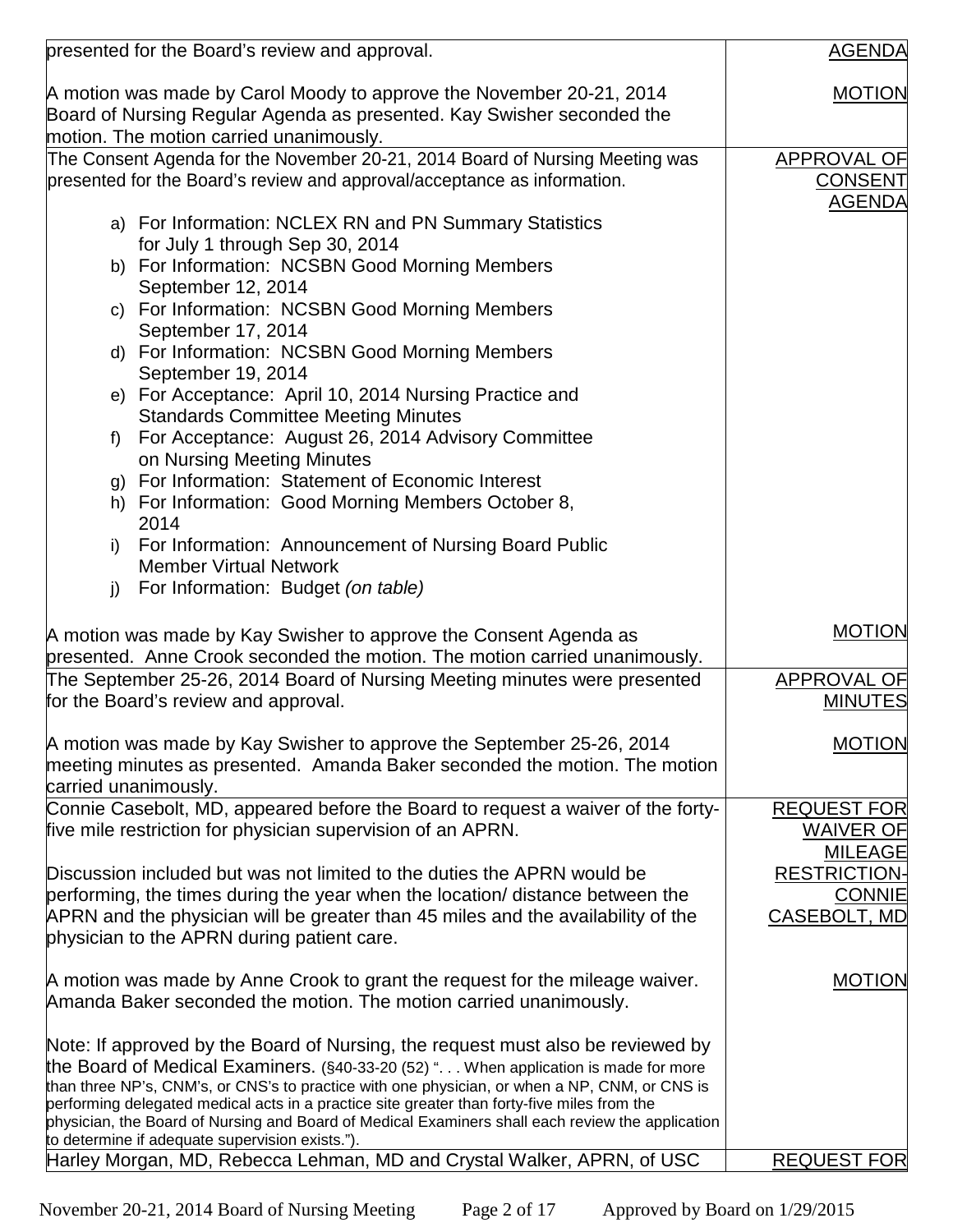|    | presented for the Board's review and approval.                                                   | <b>AGENDA</b>       |
|----|--------------------------------------------------------------------------------------------------|---------------------|
|    |                                                                                                  |                     |
|    | A motion was made by Carol Moody to approve the November 20-21, 2014                             | <b>MOTION</b>       |
|    | Board of Nursing Regular Agenda as presented. Kay Swisher seconded the                           |                     |
|    | motion. The motion carried unanimously.                                                          |                     |
|    | The Consent Agenda for the November 20-21, 2014 Board of Nursing Meeting was                     | <b>APPROVAL OF</b>  |
|    | presented for the Board's review and approval/acceptance as information.                         | <b>CONSENT</b>      |
|    |                                                                                                  | <b>AGENDA</b>       |
|    | a) For Information: NCLEX RN and PN Summary Statistics                                           |                     |
|    | for July 1 through Sep 30, 2014                                                                  |                     |
|    | b) For Information: NCSBN Good Morning Members                                                   |                     |
|    | September 12, 2014                                                                               |                     |
|    | c) For Information: NCSBN Good Morning Members                                                   |                     |
|    | September 17, 2014                                                                               |                     |
|    | d) For Information: NCSBN Good Morning Members                                                   |                     |
|    | September 19, 2014                                                                               |                     |
|    | e) For Acceptance: April 10, 2014 Nursing Practice and                                           |                     |
|    | <b>Standards Committee Meeting Minutes</b>                                                       |                     |
| f  | For Acceptance: August 26, 2014 Advisory Committee                                               |                     |
|    | on Nursing Meeting Minutes                                                                       |                     |
|    | g) For Information: Statement of Economic Interest                                               |                     |
|    | h) For Information: Good Morning Members October 8,                                              |                     |
|    | 2014                                                                                             |                     |
| i) | For Information: Announcement of Nursing Board Public                                            |                     |
|    | <b>Member Virtual Network</b>                                                                    |                     |
| j) | For Information: Budget (on table)                                                               |                     |
|    |                                                                                                  |                     |
|    | A motion was made by Kay Swisher to approve the Consent Agenda as                                | <b>MOTION</b>       |
|    | presented. Anne Crook seconded the motion. The motion carried unanimously.                       |                     |
|    | The September 25-26, 2014 Board of Nursing Meeting minutes were presented                        | APPROVAL OF         |
|    | for the Board's review and approval.                                                             | <b>MINUTES</b>      |
|    |                                                                                                  |                     |
|    | A motion was made by Kay Swisher to approve the September 25-26, 2014                            | <b>MOTION</b>       |
|    | meeting minutes as presented. Amanda Baker seconded the motion. The motion                       |                     |
|    | carried unanimously.                                                                             |                     |
|    | Connie Casebolt, MD, appeared before the Board to request a waiver of the forty-                 | <b>REQUEST FOR</b>  |
|    | five mile restriction for physician supervision of an APRN.                                      | WAIVER OF           |
|    |                                                                                                  | <b>MILEAGE</b>      |
|    | Discussion included but was not limited to the duties the APRN would be                          | <b>RESTRICTION-</b> |
|    | performing, the times during the year when the location/ distance between the                    | <b>CONNIE</b>       |
|    | APRN and the physician will be greater than 45 miles and the availability of the                 | CASEBOLT, MD        |
|    | physician to the APRN during patient care.                                                       |                     |
|    |                                                                                                  |                     |
|    | A motion was made by Anne Crook to grant the request for the mileage waiver.                     | <b>MOTION</b>       |
|    | Amanda Baker seconded the motion. The motion carried unanimously.                                |                     |
|    |                                                                                                  |                     |
|    | Note: If approved by the Board of Nursing, the request must also be reviewed by                  |                     |
|    | the Board of Medical Examiners. (§40-33-20 (52) ". When application is made for more             |                     |
|    | than three NP's, CNM's, or CNS's to practice with one physician, or when a NP, CNM, or CNS is    |                     |
|    | performing delegated medical acts in a practice site greater than forty-five miles from the      |                     |
|    | physician, the Board of Nursing and Board of Medical Examiners shall each review the application |                     |
|    | to determine if adequate supervision exists.").                                                  |                     |
|    | Harley Morgan, MD, Rebecca Lehman, MD and Crystal Walker, APRN, of USC                           | <b>REQUEST FOR</b>  |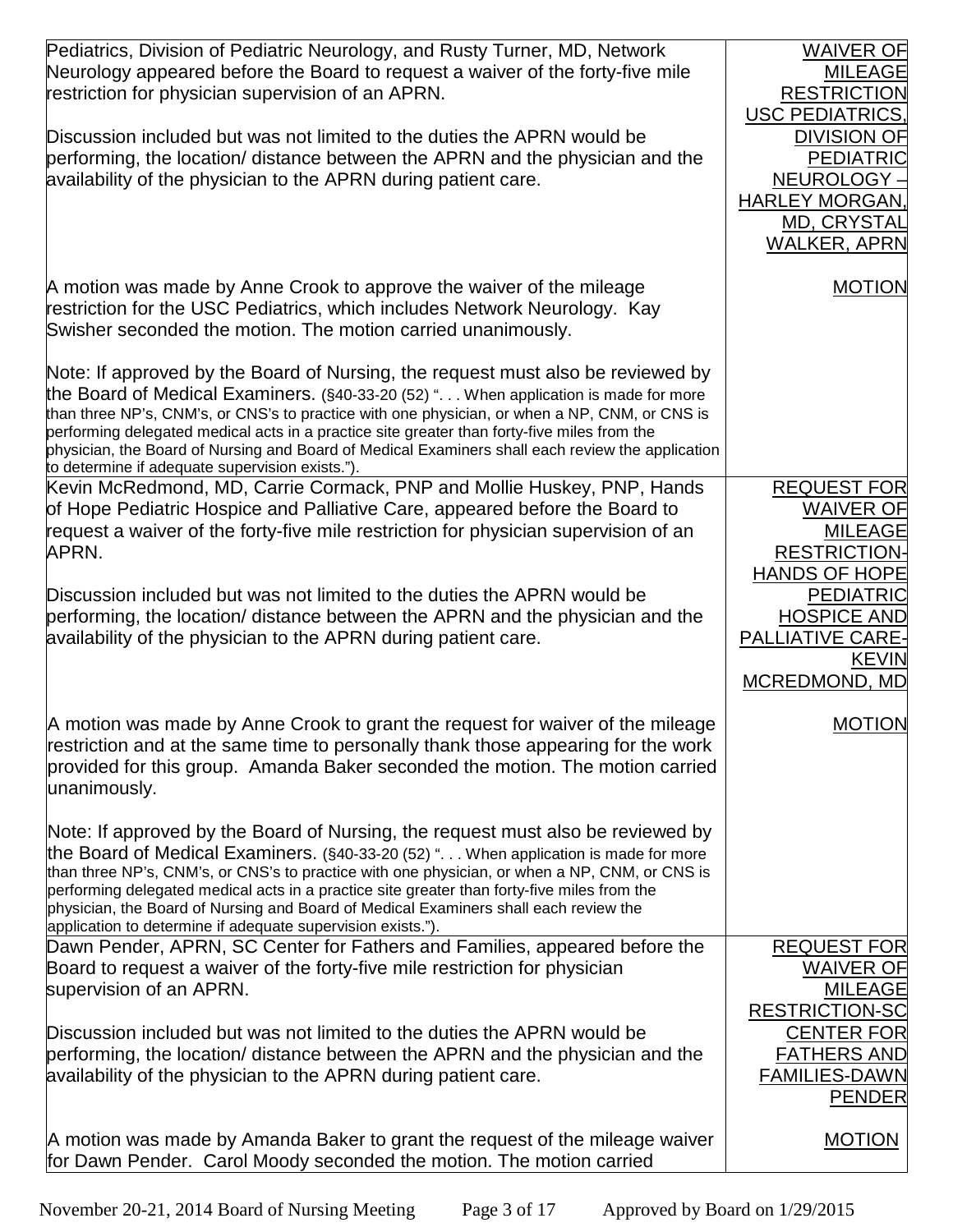| Pediatrics, Division of Pediatric Neurology, and Rusty Turner, MD, Network<br>Neurology appeared before the Board to request a waiver of the forty-five mile<br>restriction for physician supervision of an APRN.<br>Discussion included but was not limited to the duties the APRN would be                                                                                                                                                                                                                                   | <b>WAIVER OF</b><br><b>MILEAGE</b><br><b>RESTRICTION</b><br><b>USC PEDIATRICS.</b><br><b>DIVISION OF</b> |
|--------------------------------------------------------------------------------------------------------------------------------------------------------------------------------------------------------------------------------------------------------------------------------------------------------------------------------------------------------------------------------------------------------------------------------------------------------------------------------------------------------------------------------|----------------------------------------------------------------------------------------------------------|
| performing, the location/ distance between the APRN and the physician and the<br>availability of the physician to the APRN during patient care.                                                                                                                                                                                                                                                                                                                                                                                | <b>PEDIATRIC</b><br>NEUROLOGY ·<br><b>HARLEY MORGAN</b><br>MD, CRYSTAL<br><b>WALKER, APRN</b>            |
| A motion was made by Anne Crook to approve the waiver of the mileage<br>restriction for the USC Pediatrics, which includes Network Neurology. Kay<br>Swisher seconded the motion. The motion carried unanimously.                                                                                                                                                                                                                                                                                                              | <b>MOTION</b>                                                                                            |
| Note: If approved by the Board of Nursing, the request must also be reviewed by<br>the Board of Medical Examiners. (§40-33-20 (52) ". When application is made for more<br>than three NP's, CNM's, or CNS's to practice with one physician, or when a NP, CNM, or CNS is<br>performing delegated medical acts in a practice site greater than forty-five miles from the<br>physician, the Board of Nursing and Board of Medical Examiners shall each review the application<br>to determine if adequate supervision exists."). |                                                                                                          |
| Kevin McRedmond, MD, Carrie Cormack, PNP and Mollie Huskey, PNP, Hands<br>of Hope Pediatric Hospice and Palliative Care, appeared before the Board to<br>request a waiver of the forty-five mile restriction for physician supervision of an<br>APRN.                                                                                                                                                                                                                                                                          | <b>REQUEST FOR</b><br><b>WAIVER OF</b><br><b>MILEAGE</b><br><b>RESTRICTION-</b><br><b>HANDS OF HOPE</b>  |
| Discussion included but was not limited to the duties the APRN would be<br>performing, the location/ distance between the APRN and the physician and the<br>availability of the physician to the APRN during patient care.                                                                                                                                                                                                                                                                                                     | <b>PEDIATRIC</b><br><b>HOSPICE AND</b><br><b>PALLIATIVE CARE-</b><br><b>KEVIN</b><br>MCREDMOND, MD       |
| A motion was made by Anne Crook to grant the request for waiver of the mileage<br>restriction and at the same time to personally thank those appearing for the work<br>provided for this group. Amanda Baker seconded the motion. The motion carried<br>unanimously.                                                                                                                                                                                                                                                           | <b>MOTION</b>                                                                                            |
| Note: If approved by the Board of Nursing, the request must also be reviewed by<br>the Board of Medical Examiners. (§40-33-20 (52) ". When application is made for more<br>than three NP's, CNM's, or CNS's to practice with one physician, or when a NP, CNM, or CNS is<br>performing delegated medical acts in a practice site greater than forty-five miles from the<br>physician, the Board of Nursing and Board of Medical Examiners shall each review the<br>application to determine if adequate supervision exists."). |                                                                                                          |
| Dawn Pender, APRN, SC Center for Fathers and Families, appeared before the<br>Board to request a waiver of the forty-five mile restriction for physician<br>supervision of an APRN.                                                                                                                                                                                                                                                                                                                                            | <b>REQUEST FOR</b><br><b>WAIVER OF</b><br><b>MILEAGE</b><br><b>RESTRICTION-SC</b>                        |
| Discussion included but was not limited to the duties the APRN would be<br>performing, the location/ distance between the APRN and the physician and the<br>availability of the physician to the APRN during patient care.                                                                                                                                                                                                                                                                                                     | <b>CENTER FOR</b><br><b>FATHERS AND</b><br><b>FAMILIES-DAWN</b><br><b>PENDER</b>                         |
| A motion was made by Amanda Baker to grant the request of the mileage waiver<br>for Dawn Pender. Carol Moody seconded the motion. The motion carried                                                                                                                                                                                                                                                                                                                                                                           | <b>MOTION</b>                                                                                            |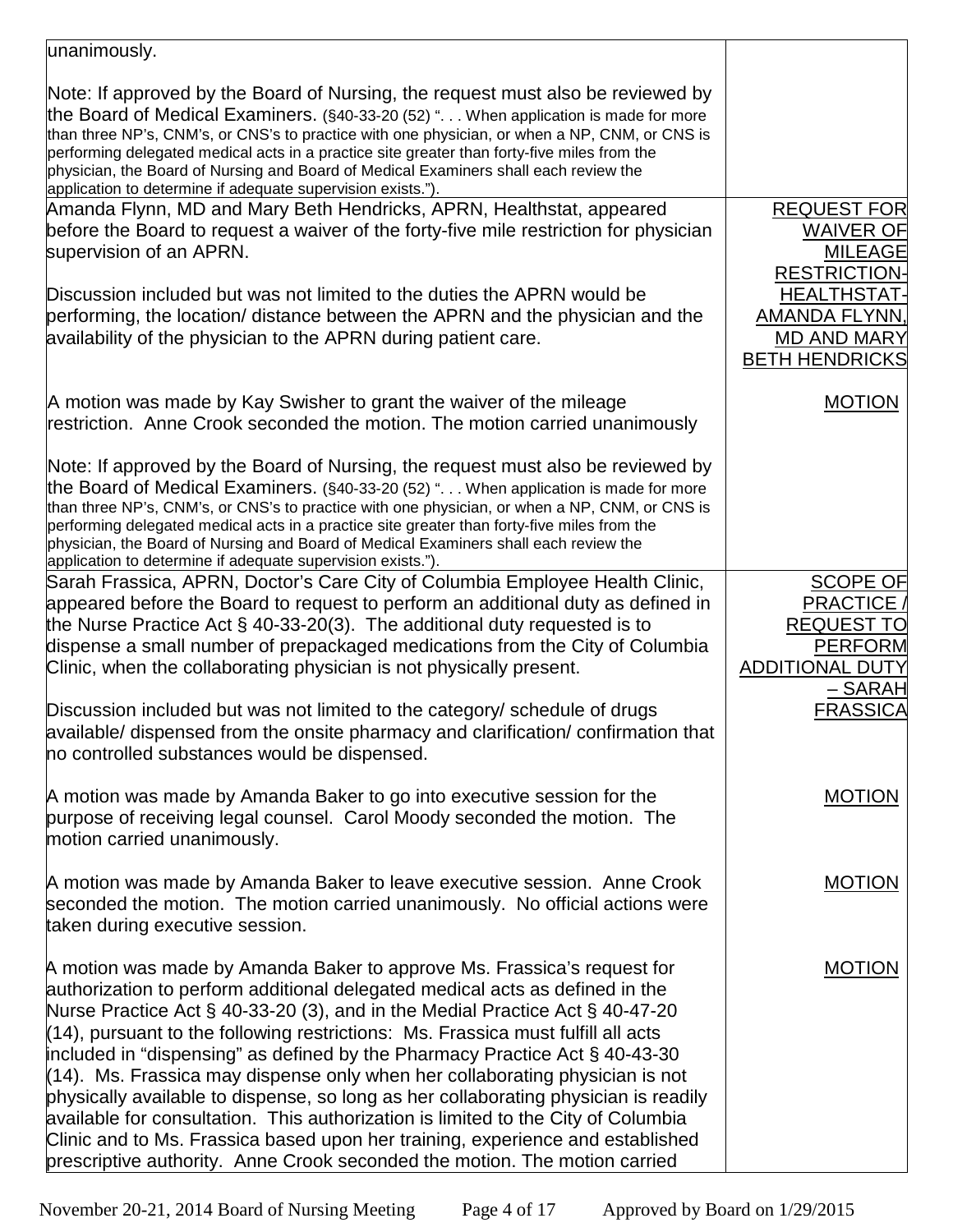| unanimously.                                                                                                                                                                                                                                                                                                                                                                                                                                                                                                                                                                                                                                                                                                                                                                                                                                    |                                                                                                                  |
|-------------------------------------------------------------------------------------------------------------------------------------------------------------------------------------------------------------------------------------------------------------------------------------------------------------------------------------------------------------------------------------------------------------------------------------------------------------------------------------------------------------------------------------------------------------------------------------------------------------------------------------------------------------------------------------------------------------------------------------------------------------------------------------------------------------------------------------------------|------------------------------------------------------------------------------------------------------------------|
| Note: If approved by the Board of Nursing, the request must also be reviewed by<br>the Board of Medical Examiners. (§40-33-20 (52) " When application is made for more<br>than three NP's, CNM's, or CNS's to practice with one physician, or when a NP, CNM, or CNS is<br>performing delegated medical acts in a practice site greater than forty-five miles from the<br>physician, the Board of Nursing and Board of Medical Examiners shall each review the<br>application to determine if adequate supervision exists.").                                                                                                                                                                                                                                                                                                                   |                                                                                                                  |
| Amanda Flynn, MD and Mary Beth Hendricks, APRN, Healthstat, appeared<br>before the Board to request a waiver of the forty-five mile restriction for physician<br>supervision of an APRN.                                                                                                                                                                                                                                                                                                                                                                                                                                                                                                                                                                                                                                                        | <b>REQUEST FOR</b><br><b>WAIVER OF</b><br><b>MILEAGE</b>                                                         |
| Discussion included but was not limited to the duties the APRN would be<br>performing, the location/ distance between the APRN and the physician and the<br>availability of the physician to the APRN during patient care.                                                                                                                                                                                                                                                                                                                                                                                                                                                                                                                                                                                                                      | <b>RESTRICTION-</b><br><b>HEALTHSTAT-</b><br><b>AMANDA FLYNN,</b><br><b>MD AND MARY</b><br><b>BETH HENDRICKS</b> |
| A motion was made by Kay Swisher to grant the waiver of the mileage<br>restriction. Anne Crook seconded the motion. The motion carried unanimously                                                                                                                                                                                                                                                                                                                                                                                                                                                                                                                                                                                                                                                                                              | <b>MOTION</b>                                                                                                    |
| Note: If approved by the Board of Nursing, the request must also be reviewed by<br>the Board of Medical Examiners. (§40-33-20 (52) ". When application is made for more<br>than three NP's, CNM's, or CNS's to practice with one physician, or when a NP, CNM, or CNS is<br>performing delegated medical acts in a practice site greater than forty-five miles from the<br>physician, the Board of Nursing and Board of Medical Examiners shall each review the<br>application to determine if adequate supervision exists.").                                                                                                                                                                                                                                                                                                                  |                                                                                                                  |
| Sarah Frassica, APRN, Doctor's Care City of Columbia Employee Health Clinic,<br>appeared before the Board to request to perform an additional duty as defined in<br>the Nurse Practice Act $\S$ 40-33-20(3). The additional duty requested is to<br>dispense a small number of prepackaged medications from the City of Columbia<br>Clinic, when the collaborating physician is not physically present.                                                                                                                                                                                                                                                                                                                                                                                                                                         | <b>SCOPE OF</b><br><b>PRACTICE</b><br><b>REQUEST TO</b><br><b>PERFORM</b><br><b>ADDITIONAL DUTY</b>              |
| Discussion included but was not limited to the category/ schedule of drugs<br>available/ dispensed from the onsite pharmacy and clarification/ confirmation that<br>no controlled substances would be dispensed.                                                                                                                                                                                                                                                                                                                                                                                                                                                                                                                                                                                                                                | – SARAH<br><b>FRASSICA</b>                                                                                       |
| A motion was made by Amanda Baker to go into executive session for the<br>purpose of receiving legal counsel. Carol Moody seconded the motion. The<br>motion carried unanimously.                                                                                                                                                                                                                                                                                                                                                                                                                                                                                                                                                                                                                                                               | <b>MOTION</b>                                                                                                    |
| A motion was made by Amanda Baker to leave executive session. Anne Crook<br>seconded the motion. The motion carried unanimously. No official actions were<br>taken during executive session.                                                                                                                                                                                                                                                                                                                                                                                                                                                                                                                                                                                                                                                    | <b>MOTION</b>                                                                                                    |
| A motion was made by Amanda Baker to approve Ms. Frassica's request for<br>authorization to perform additional delegated medical acts as defined in the<br>Nurse Practice Act § 40-33-20 (3), and in the Medial Practice Act § 40-47-20<br>$(14)$ , pursuant to the following restrictions: Ms. Frassica must fulfill all acts<br>included in "dispensing" as defined by the Pharmacy Practice Act $\S$ 40-43-30<br>$(14)$ . Ms. Frassica may dispense only when her collaborating physician is not<br>physically available to dispense, so long as her collaborating physician is readily<br>available for consultation. This authorization is limited to the City of Columbia<br>Clinic and to Ms. Frassica based upon her training, experience and established<br>prescriptive authority. Anne Crook seconded the motion. The motion carried | <b>MOTION</b>                                                                                                    |

November 20-21, 2014 Board of Nursing Meeting Page 4 of 17 Approved by Board on 1/29/2015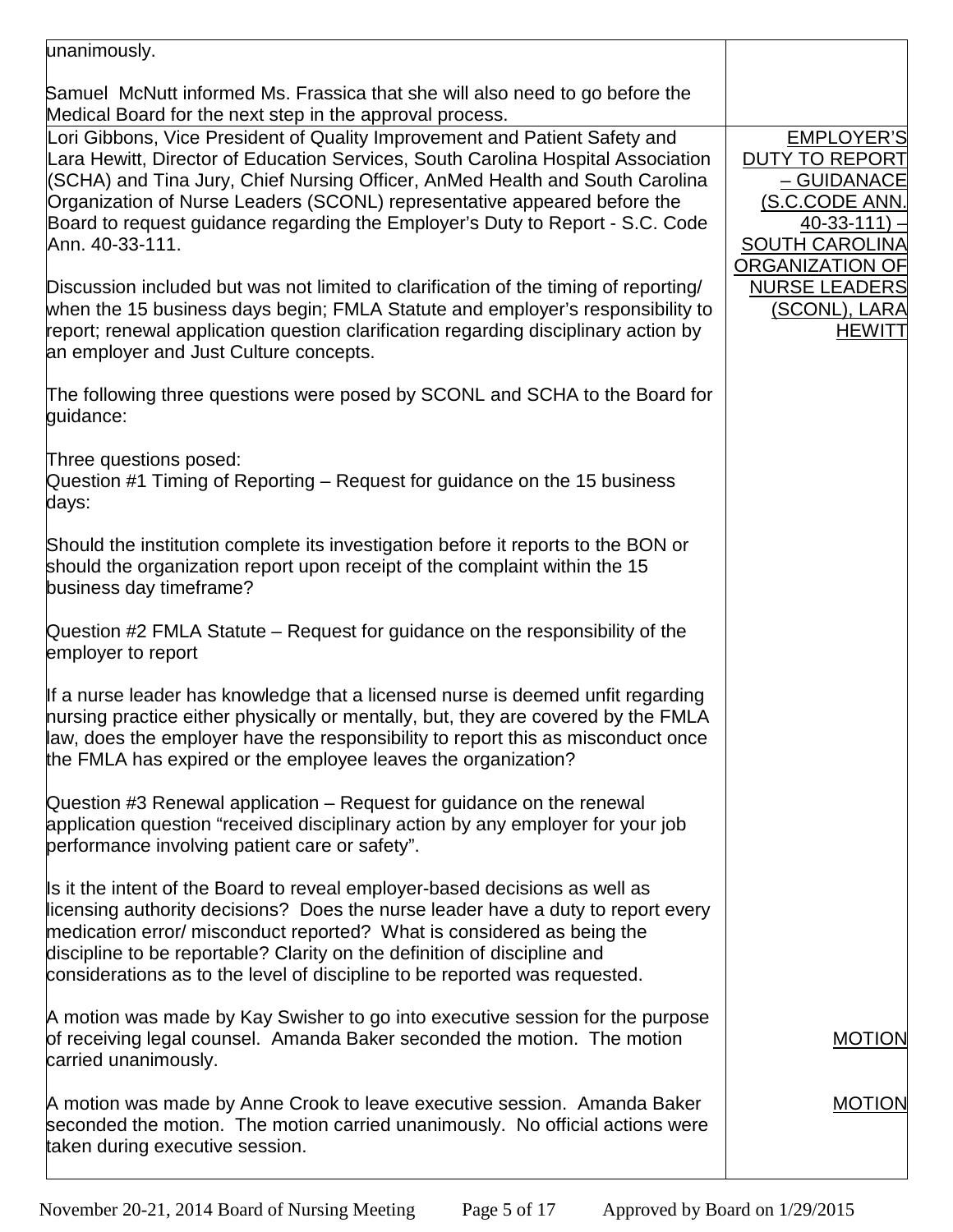| unanimously.                                                                                                                                                                                                                                                                                                                                                                                                                   |                                                                                                                                                     |
|--------------------------------------------------------------------------------------------------------------------------------------------------------------------------------------------------------------------------------------------------------------------------------------------------------------------------------------------------------------------------------------------------------------------------------|-----------------------------------------------------------------------------------------------------------------------------------------------------|
| Samuel McNutt informed Ms. Frassica that she will also need to go before the<br>Medical Board for the next step in the approval process.                                                                                                                                                                                                                                                                                       |                                                                                                                                                     |
| Lori Gibbons, Vice President of Quality Improvement and Patient Safety and<br>Lara Hewitt, Director of Education Services, South Carolina Hospital Association<br>(SCHA) and Tina Jury, Chief Nursing Officer, AnMed Health and South Carolina<br>Organization of Nurse Leaders (SCONL) representative appeared before the<br>Board to request guidance regarding the Employer's Duty to Report - S.C. Code<br>Ann. 40-33-111. | <b>EMPLOYER'S</b><br><b>DUTY TO REPORT</b><br>– GUIDANACE<br>(S.C.CODE ANN.<br>$40 - 33 - 111$ )<br><b>SOUTH CAROLINA</b><br><b>ORGANIZATION OF</b> |
| Discussion included but was not limited to clarification of the timing of reporting/<br>when the 15 business days begin; FMLA Statute and employer's responsibility to<br>report; renewal application question clarification regarding disciplinary action by<br>an employer and Just Culture concepts.                                                                                                                        | <b>NURSE LEADERS</b><br><u>(SCONL), LARA</u><br><b>HEWITT</b>                                                                                       |
| The following three questions were posed by SCONL and SCHA to the Board for<br>guidance:                                                                                                                                                                                                                                                                                                                                       |                                                                                                                                                     |
| Three questions posed:<br>Question #1 Timing of Reporting – Request for guidance on the 15 business<br>days:                                                                                                                                                                                                                                                                                                                   |                                                                                                                                                     |
| Should the institution complete its investigation before it reports to the BON or<br>should the organization report upon receipt of the complaint within the 15<br>business day timeframe?                                                                                                                                                                                                                                     |                                                                                                                                                     |
| Question #2 FMLA Statute - Request for guidance on the responsibility of the<br>employer to report                                                                                                                                                                                                                                                                                                                             |                                                                                                                                                     |
| If a nurse leader has knowledge that a licensed nurse is deemed unfit regarding<br>hursing practice either physically or mentally, but, they are covered by the FMLA<br>law, does the employer have the responsibility to report this as misconduct once<br>the FMLA has expired or the employee leaves the organization?                                                                                                      |                                                                                                                                                     |
| Question #3 Renewal application - Request for guidance on the renewal<br>application question "received disciplinary action by any employer for your job<br>performance involving patient care or safety".                                                                                                                                                                                                                     |                                                                                                                                                     |
| Is it the intent of the Board to reveal employer-based decisions as well as<br>licensing authority decisions? Does the nurse leader have a duty to report every<br>medication error/ misconduct reported? What is considered as being the<br>discipline to be reportable? Clarity on the definition of discipline and<br>considerations as to the level of discipline to be reported was requested.                            |                                                                                                                                                     |
| A motion was made by Kay Swisher to go into executive session for the purpose<br>of receiving legal counsel. Amanda Baker seconded the motion. The motion<br>carried unanimously.                                                                                                                                                                                                                                              | <b>MOTION</b>                                                                                                                                       |
| A motion was made by Anne Crook to leave executive session. Amanda Baker<br>seconded the motion. The motion carried unanimously. No official actions were<br>taken during executive session.                                                                                                                                                                                                                                   | <b>MOTION</b>                                                                                                                                       |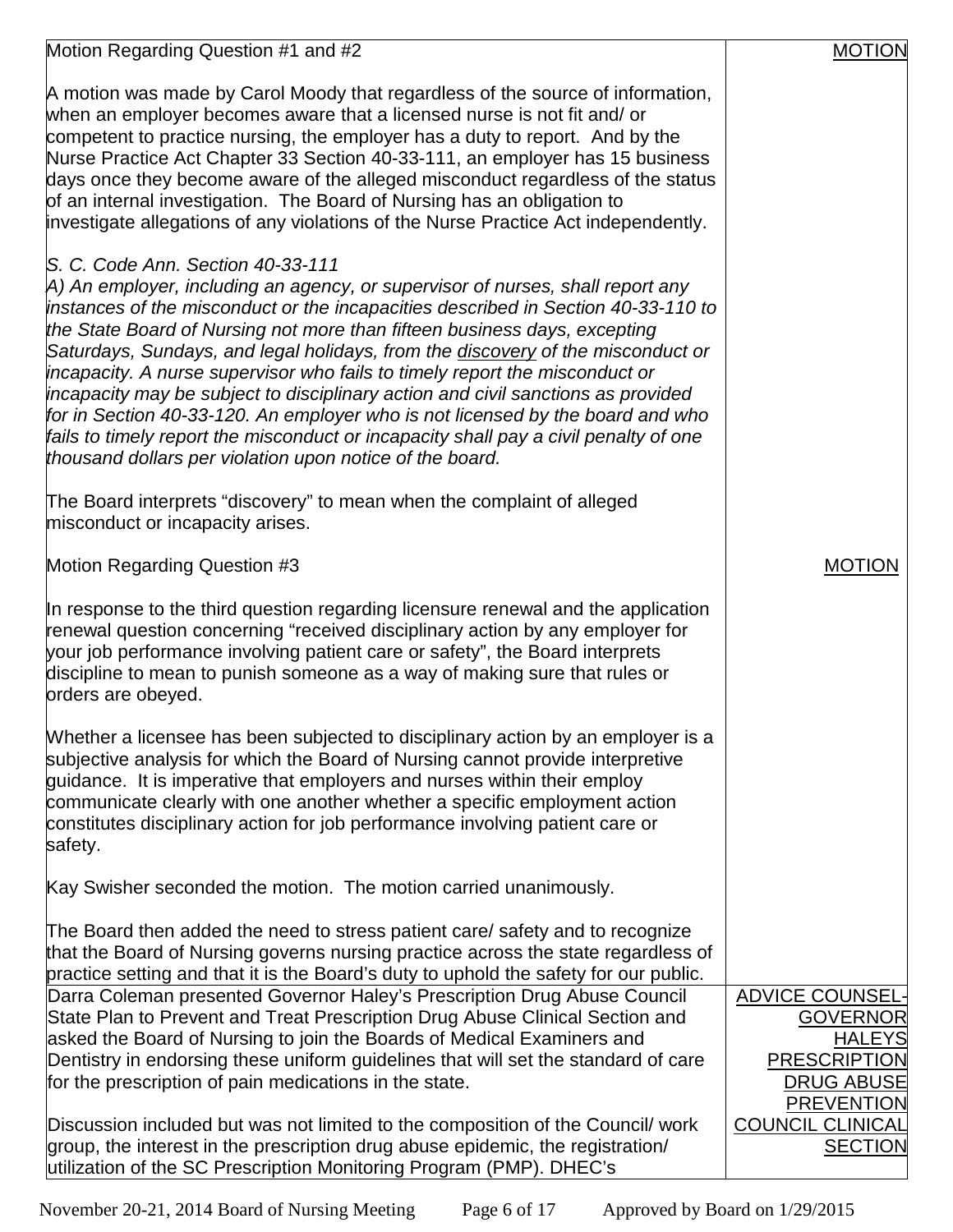| Motion Regarding Question #1 and #2                                                                                                                                                                                                                                                                                                                                                                                                                                                                                                                                                                                                                                                                                                                                               | <b>MOTION</b>                                                                                                               |
|-----------------------------------------------------------------------------------------------------------------------------------------------------------------------------------------------------------------------------------------------------------------------------------------------------------------------------------------------------------------------------------------------------------------------------------------------------------------------------------------------------------------------------------------------------------------------------------------------------------------------------------------------------------------------------------------------------------------------------------------------------------------------------------|-----------------------------------------------------------------------------------------------------------------------------|
| A motion was made by Carol Moody that regardless of the source of information,<br>when an employer becomes aware that a licensed nurse is not fit and/ or<br>competent to practice nursing, the employer has a duty to report. And by the<br>Nurse Practice Act Chapter 33 Section 40-33-111, an employer has 15 business<br>days once they become aware of the alleged misconduct regardless of the status<br>of an internal investigation. The Board of Nursing has an obligation to<br>investigate allegations of any violations of the Nurse Practice Act independently.                                                                                                                                                                                                      |                                                                                                                             |
| S. C. Code Ann. Section 40-33-111<br>A) An employer, including an agency, or supervisor of nurses, shall report any<br>instances of the misconduct or the incapacities described in Section 40-33-110 to<br>the State Board of Nursing not more than fifteen business days, excepting<br>Saturdays, Sundays, and legal holidays, from the discovery of the misconduct or<br>incapacity. A nurse supervisor who fails to timely report the misconduct or<br>incapacity may be subject to disciplinary action and civil sanctions as provided<br>for in Section 40-33-120. An employer who is not licensed by the board and who<br>fails to timely report the misconduct or incapacity shall pay a civil penalty of one<br>thousand dollars per violation upon notice of the board. |                                                                                                                             |
| The Board interprets "discovery" to mean when the complaint of alleged<br>misconduct or incapacity arises.                                                                                                                                                                                                                                                                                                                                                                                                                                                                                                                                                                                                                                                                        |                                                                                                                             |
| Motion Regarding Question #3                                                                                                                                                                                                                                                                                                                                                                                                                                                                                                                                                                                                                                                                                                                                                      | <b>MOTION</b>                                                                                                               |
| In response to the third question regarding licensure renewal and the application<br>renewal question concerning "received disciplinary action by any employer for<br>your job performance involving patient care or safety", the Board interprets<br>discipline to mean to punish someone as a way of making sure that rules or<br>orders are obeyed.                                                                                                                                                                                                                                                                                                                                                                                                                            |                                                                                                                             |
| Whether a licensee has been subjected to disciplinary action by an employer is a<br>subjective analysis for which the Board of Nursing cannot provide interpretive<br>guidance. It is imperative that employers and nurses within their employ<br>communicate clearly with one another whether a specific employment action<br>constitutes disciplinary action for job performance involving patient care or<br>safety.                                                                                                                                                                                                                                                                                                                                                           |                                                                                                                             |
| Kay Swisher seconded the motion. The motion carried unanimously.                                                                                                                                                                                                                                                                                                                                                                                                                                                                                                                                                                                                                                                                                                                  |                                                                                                                             |
| The Board then added the need to stress patient care/ safety and to recognize<br>that the Board of Nursing governs nursing practice across the state regardless of<br>practice setting and that it is the Board's duty to uphold the safety for our public.                                                                                                                                                                                                                                                                                                                                                                                                                                                                                                                       |                                                                                                                             |
| Darra Coleman presented Governor Haley's Prescription Drug Abuse Council<br>State Plan to Prevent and Treat Prescription Drug Abuse Clinical Section and<br>asked the Board of Nursing to join the Boards of Medical Examiners and<br>Dentistry in endorsing these uniform guidelines that will set the standard of care<br>for the prescription of pain medications in the state.                                                                                                                                                                                                                                                                                                                                                                                                | <b>ADVICE COUNSEL-</b><br><b>GOVERNOR</b><br><b>HALEYS</b><br><b>PRESCRIPTION</b><br><b>DRUG ABUSE</b><br><b>PREVENTION</b> |
| Discussion included but was not limited to the composition of the Council/ work<br>group, the interest in the prescription drug abuse epidemic, the registration/<br>utilization of the SC Prescription Monitoring Program (PMP). DHEC's                                                                                                                                                                                                                                                                                                                                                                                                                                                                                                                                          | <b>COUNCIL CLINICAL</b><br><b>SECTION</b>                                                                                   |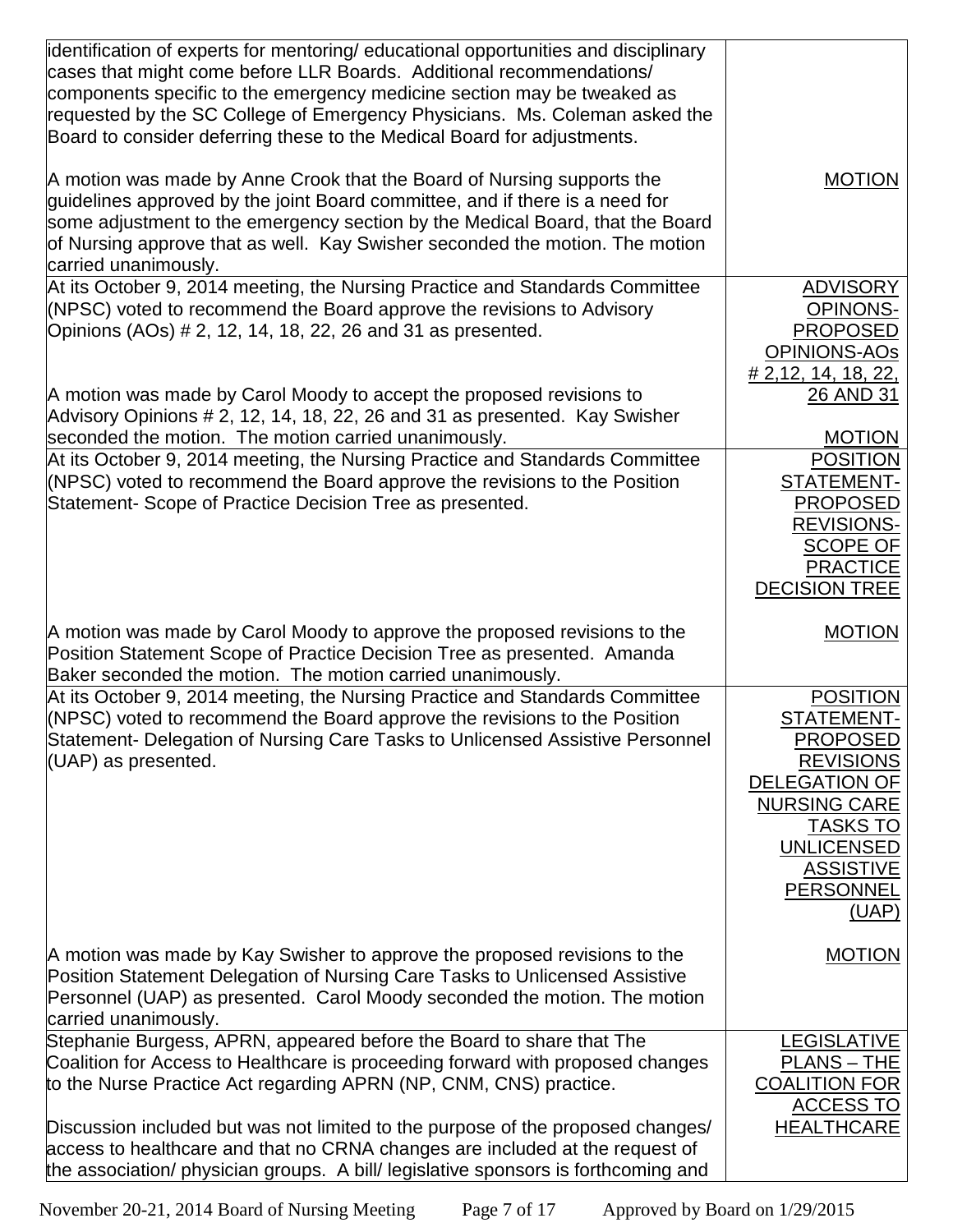| identification of experts for mentoring/ educational opportunities and disciplinary<br>cases that might come before LLR Boards. Additional recommendations/<br>components specific to the emergency medicine section may be tweaked as<br>requested by the SC College of Emergency Physicians. Ms. Coleman asked the<br>Board to consider deferring these to the Medical Board for adjustments.<br>A motion was made by Anne Crook that the Board of Nursing supports the<br>quidelines approved by the joint Board committee, and if there is a need for<br>some adjustment to the emergency section by the Medical Board, that the Board<br>of Nursing approve that as well. Kay Swisher seconded the motion. The motion<br>carried unanimously. | <b>MOTION</b>                                                                                                                                                                                                |
|----------------------------------------------------------------------------------------------------------------------------------------------------------------------------------------------------------------------------------------------------------------------------------------------------------------------------------------------------------------------------------------------------------------------------------------------------------------------------------------------------------------------------------------------------------------------------------------------------------------------------------------------------------------------------------------------------------------------------------------------------|--------------------------------------------------------------------------------------------------------------------------------------------------------------------------------------------------------------|
| At its October 9, 2014 meeting, the Nursing Practice and Standards Committee<br>(NPSC) voted to recommend the Board approve the revisions to Advisory<br>Opinions (AOs) # 2, 12, 14, 18, 22, 26 and 31 as presented.                                                                                                                                                                                                                                                                                                                                                                                                                                                                                                                               | <b>ADVISORY</b><br><b>OPINONS-</b><br><b>PROPOSED</b><br><b>OPINIONS-AOs</b><br>$\#$ 2,12, 14, 18, 22,                                                                                                       |
| A motion was made by Carol Moody to accept the proposed revisions to<br>Advisory Opinions # 2, 12, 14, 18, 22, 26 and 31 as presented. Kay Swisher<br>seconded the motion. The motion carried unanimously.                                                                                                                                                                                                                                                                                                                                                                                                                                                                                                                                         | 26 AND 31<br><b>MOTION</b>                                                                                                                                                                                   |
| At its October 9, 2014 meeting, the Nursing Practice and Standards Committee<br>(NPSC) voted to recommend the Board approve the revisions to the Position<br>Statement- Scope of Practice Decision Tree as presented.                                                                                                                                                                                                                                                                                                                                                                                                                                                                                                                              | <b>POSITION</b><br>STATEMENT-<br><b>PROPOSED</b><br><b>REVISIONS-</b><br><b>SCOPE OF</b><br><b>PRACTICE</b><br><b>DECISION TREE</b>                                                                          |
| A motion was made by Carol Moody to approve the proposed revisions to the<br>Position Statement Scope of Practice Decision Tree as presented. Amanda                                                                                                                                                                                                                                                                                                                                                                                                                                                                                                                                                                                               | <b>MOTION</b>                                                                                                                                                                                                |
| Baker seconded the motion. The motion carried unanimously.                                                                                                                                                                                                                                                                                                                                                                                                                                                                                                                                                                                                                                                                                         |                                                                                                                                                                                                              |
| At its October 9, 2014 meeting, the Nursing Practice and Standards Committee<br>(NPSC) voted to recommend the Board approve the revisions to the Position<br>Statement- Delegation of Nursing Care Tasks to Unlicensed Assistive Personnel<br>(UAP) as presented.                                                                                                                                                                                                                                                                                                                                                                                                                                                                                  | <b>POSITION</b><br>STATEMENT-<br><b>PROPOSED</b><br><b>REVISIONS</b><br><b>DELEGATION OF</b><br><b>NURSING CARE</b><br><b>TASKS TO</b><br><b>UNLICENSED</b><br><b>ASSISTIVE</b><br><b>PERSONNEL</b><br>(UAP) |
| A motion was made by Kay Swisher to approve the proposed revisions to the<br>Position Statement Delegation of Nursing Care Tasks to Unlicensed Assistive<br>Personnel (UAP) as presented. Carol Moody seconded the motion. The motion<br>carried unanimously.                                                                                                                                                                                                                                                                                                                                                                                                                                                                                      | <b>MOTION</b>                                                                                                                                                                                                |
| Stephanie Burgess, APRN, appeared before the Board to share that The<br>Coalition for Access to Healthcare is proceeding forward with proposed changes<br>to the Nurse Practice Act regarding APRN (NP, CNM, CNS) practice.<br>Discussion included but was not limited to the purpose of the proposed changes/                                                                                                                                                                                                                                                                                                                                                                                                                                     | LEGISLATIVE<br><b>PLANS - THE</b><br><b>COALITION FOR</b><br><b>ACCESS TO</b><br><b>HEALTHCARE</b>                                                                                                           |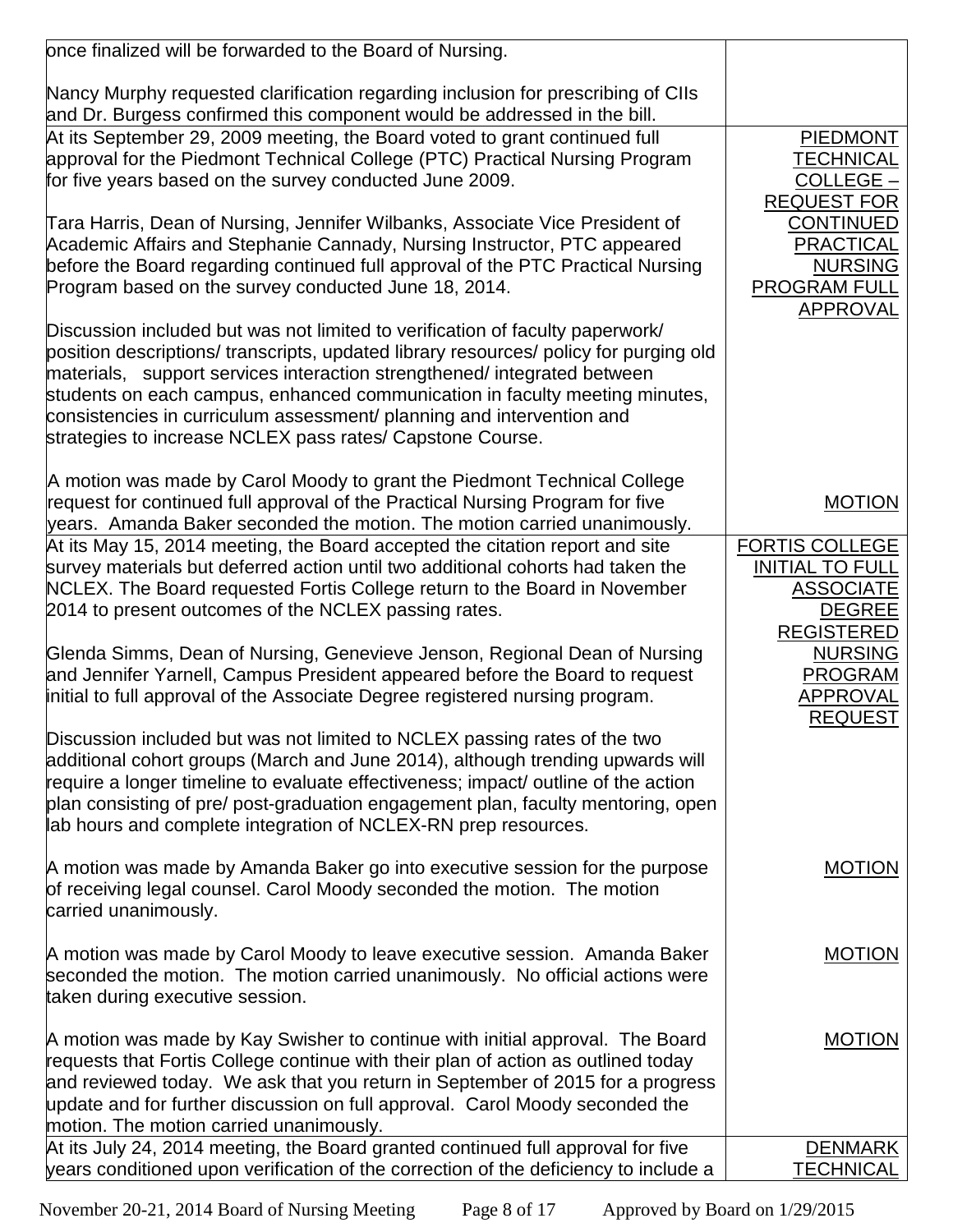| once finalized will be forwarded to the Board of Nursing.                                                                                                                                                                                         |                            |
|---------------------------------------------------------------------------------------------------------------------------------------------------------------------------------------------------------------------------------------------------|----------------------------|
| Nancy Murphy requested clarification regarding inclusion for prescribing of CIIs<br>and Dr. Burgess confirmed this component would be addressed in the bill.                                                                                      |                            |
| At its September 29, 2009 meeting, the Board voted to grant continued full                                                                                                                                                                        | <b>PIEDMONT</b>            |
| approval for the Piedmont Technical College (PTC) Practical Nursing Program                                                                                                                                                                       | <b>TECHNICAL</b>           |
| for five years based on the survey conducted June 2009.                                                                                                                                                                                           | COLLEGE-                   |
|                                                                                                                                                                                                                                                   | <b>REQUEST FOR</b>         |
| Tara Harris, Dean of Nursing, Jennifer Wilbanks, Associate Vice President of                                                                                                                                                                      | <b>CONTINUED</b>           |
| Academic Affairs and Stephanie Cannady, Nursing Instructor, PTC appeared                                                                                                                                                                          | <b>PRACTICAL</b>           |
| before the Board regarding continued full approval of the PTC Practical Nursing                                                                                                                                                                   | <b>NURSING</b>             |
| Program based on the survey conducted June 18, 2014.                                                                                                                                                                                              | <b>PROGRAM FULL</b>        |
|                                                                                                                                                                                                                                                   | APPROVAL                   |
| Discussion included but was not limited to verification of faculty paperwork/<br>position descriptions/transcripts, updated library resources/ policy for purging old<br>materials, support services interaction strengthened/ integrated between |                            |
| students on each campus, enhanced communication in faculty meeting minutes,                                                                                                                                                                       |                            |
| consistencies in curriculum assessment/ planning and intervention and                                                                                                                                                                             |                            |
| strategies to increase NCLEX pass rates/ Capstone Course.                                                                                                                                                                                         |                            |
|                                                                                                                                                                                                                                                   |                            |
| A motion was made by Carol Moody to grant the Piedmont Technical College                                                                                                                                                                          |                            |
| request for continued full approval of the Practical Nursing Program for five                                                                                                                                                                     | <b>MOTION</b>              |
| years. Amanda Baker seconded the motion. The motion carried unanimously.                                                                                                                                                                          |                            |
| At its May 15, 2014 meeting, the Board accepted the citation report and site                                                                                                                                                                      | <b>FORTIS COLLEGE</b>      |
| survey materials but deferred action until two additional cohorts had taken the                                                                                                                                                                   | <b>INITIAL TO FULL</b>     |
| NCLEX. The Board requested Fortis College return to the Board in November                                                                                                                                                                         | <b>ASSOCIATE</b>           |
| 2014 to present outcomes of the NCLEX passing rates.                                                                                                                                                                                              | <b>DEGREE</b>              |
|                                                                                                                                                                                                                                                   | <b>REGISTERED</b>          |
| Glenda Simms, Dean of Nursing, Genevieve Jenson, Regional Dean of Nursing                                                                                                                                                                         | <b>NURSING</b>             |
| and Jennifer Yarnell, Campus President appeared before the Board to request<br>initial to full approval of the Associate Degree registered nursing program.                                                                                       | <b>PROGRAM</b>             |
|                                                                                                                                                                                                                                                   | APPROVAL<br><b>REQUEST</b> |
| Discussion included but was not limited to NCLEX passing rates of the two                                                                                                                                                                         |                            |
| additional cohort groups (March and June 2014), although trending upwards will                                                                                                                                                                    |                            |
| require a longer timeline to evaluate effectiveness; impact/ outline of the action                                                                                                                                                                |                            |
| plan consisting of pre/ post-graduation engagement plan, faculty mentoring, open                                                                                                                                                                  |                            |
| ab hours and complete integration of NCLEX-RN prep resources.                                                                                                                                                                                     |                            |
|                                                                                                                                                                                                                                                   |                            |
| A motion was made by Amanda Baker go into executive session for the purpose                                                                                                                                                                       | <b>MOTION</b>              |
| of receiving legal counsel. Carol Moody seconded the motion. The motion                                                                                                                                                                           |                            |
| carried unanimously.                                                                                                                                                                                                                              |                            |
|                                                                                                                                                                                                                                                   |                            |
| A motion was made by Carol Moody to leave executive session. Amanda Baker                                                                                                                                                                         | <b>MOTION</b>              |
| seconded the motion. The motion carried unanimously. No official actions were                                                                                                                                                                     |                            |
| taken during executive session.                                                                                                                                                                                                                   |                            |
| A motion was made by Kay Swisher to continue with initial approval. The Board                                                                                                                                                                     | <b>MOTION</b>              |
| requests that Fortis College continue with their plan of action as outlined today                                                                                                                                                                 |                            |
| and reviewed today. We ask that you return in September of 2015 for a progress                                                                                                                                                                    |                            |
| update and for further discussion on full approval. Carol Moody seconded the                                                                                                                                                                      |                            |
| motion. The motion carried unanimously.                                                                                                                                                                                                           |                            |
| At its July 24, 2014 meeting, the Board granted continued full approval for five                                                                                                                                                                  | <b>DENMARK</b>             |
| years conditioned upon verification of the correction of the deficiency to include a                                                                                                                                                              | <b>TECHNICAL</b>           |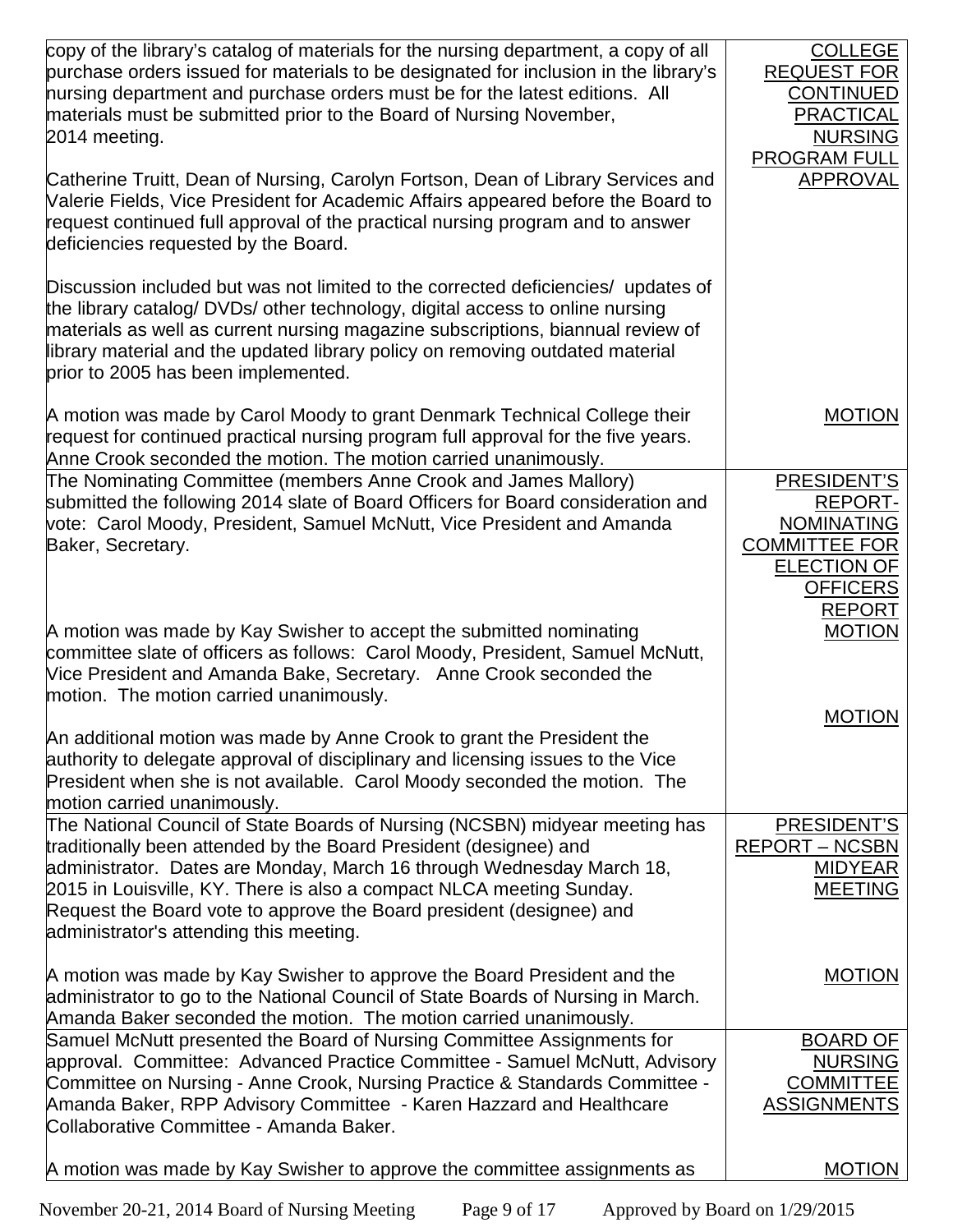| copy of the library's catalog of materials for the nursing department, a copy of all<br>purchase orders issued for materials to be designated for inclusion in the library's<br>hursing department and purchase orders must be for the latest editions. All<br>materials must be submitted prior to the Board of Nursing November,<br>2014 meeting.                                                                  | <b>COLLEGE</b><br><b>REQUEST FOR</b><br><b>CONTINUED</b><br><b>PRACTICAL</b><br><b>NURSING</b><br><b>PROGRAM FULL</b>                |
|----------------------------------------------------------------------------------------------------------------------------------------------------------------------------------------------------------------------------------------------------------------------------------------------------------------------------------------------------------------------------------------------------------------------|--------------------------------------------------------------------------------------------------------------------------------------|
| Catherine Truitt, Dean of Nursing, Carolyn Fortson, Dean of Library Services and<br>Valerie Fields, Vice President for Academic Affairs appeared before the Board to<br>request continued full approval of the practical nursing program and to answer<br>deficiencies requested by the Board.                                                                                                                       | <b>APPROVAL</b>                                                                                                                      |
| Discussion included but was not limited to the corrected deficiencies/ updates of<br>the library catalog/ DVDs/ other technology, digital access to online nursing<br>materials as well as current nursing magazine subscriptions, biannual review of<br>library material and the updated library policy on removing outdated material<br>prior to 2005 has been implemented.                                        |                                                                                                                                      |
| A motion was made by Carol Moody to grant Denmark Technical College their<br>request for continued practical nursing program full approval for the five years.<br>Anne Crook seconded the motion. The motion carried unanimously.                                                                                                                                                                                    | <b>MOTION</b>                                                                                                                        |
| The Nominating Committee (members Anne Crook and James Mallory)<br>submitted the following 2014 slate of Board Officers for Board consideration and<br>vote: Carol Moody, President, Samuel McNutt, Vice President and Amanda<br>Baker, Secretary.                                                                                                                                                                   | PRESIDENT'S<br><b>REPORT-</b><br><b>NOMINATING</b><br><b>COMMITTEE FOR</b><br><b>ELECTION OF</b><br><b>OFFICERS</b><br><b>REPORT</b> |
| A motion was made by Kay Swisher to accept the submitted nominating<br>committee slate of officers as follows: Carol Moody, President, Samuel McNutt,<br>Vice President and Amanda Bake, Secretary. Anne Crook seconded the<br>motion. The motion carried unanimously.                                                                                                                                               | <b>MOTION</b><br><b>MOTION</b>                                                                                                       |
| An additional motion was made by Anne Crook to grant the President the<br>authority to delegate approval of disciplinary and licensing issues to the Vice<br>President when she is not available. Carol Moody seconded the motion. The<br>motion carried unanimously.                                                                                                                                                |                                                                                                                                      |
| The National Council of State Boards of Nursing (NCSBN) midyear meeting has<br>traditionally been attended by the Board President (designee) and<br>administrator. Dates are Monday, March 16 through Wednesday March 18,<br>2015 in Louisville, KY. There is also a compact NLCA meeting Sunday.<br>Request the Board vote to approve the Board president (designee) and<br>administrator's attending this meeting. | PRESIDENT'S<br><b>REPORT-NCSBN</b><br><b>MIDYEAR</b><br><b>MEETING</b>                                                               |
| A motion was made by Kay Swisher to approve the Board President and the<br>administrator to go to the National Council of State Boards of Nursing in March.<br>Amanda Baker seconded the motion. The motion carried unanimously.                                                                                                                                                                                     | <b>MOTION</b>                                                                                                                        |
| Samuel McNutt presented the Board of Nursing Committee Assignments for<br>approval. Committee: Advanced Practice Committee - Samuel McNutt, Advisory<br>Committee on Nursing - Anne Crook, Nursing Practice & Standards Committee -<br>Amanda Baker, RPP Advisory Committee - Karen Hazzard and Healthcare<br>Collaborative Committee - Amanda Baker.                                                                | <b>BOARD OF</b><br><b>NURSING</b><br><b>COMMITTEE</b><br><b>ASSIGNMENTS</b>                                                          |
| A motion was made by Kay Swisher to approve the committee assignments as                                                                                                                                                                                                                                                                                                                                             | <b>MOTION</b>                                                                                                                        |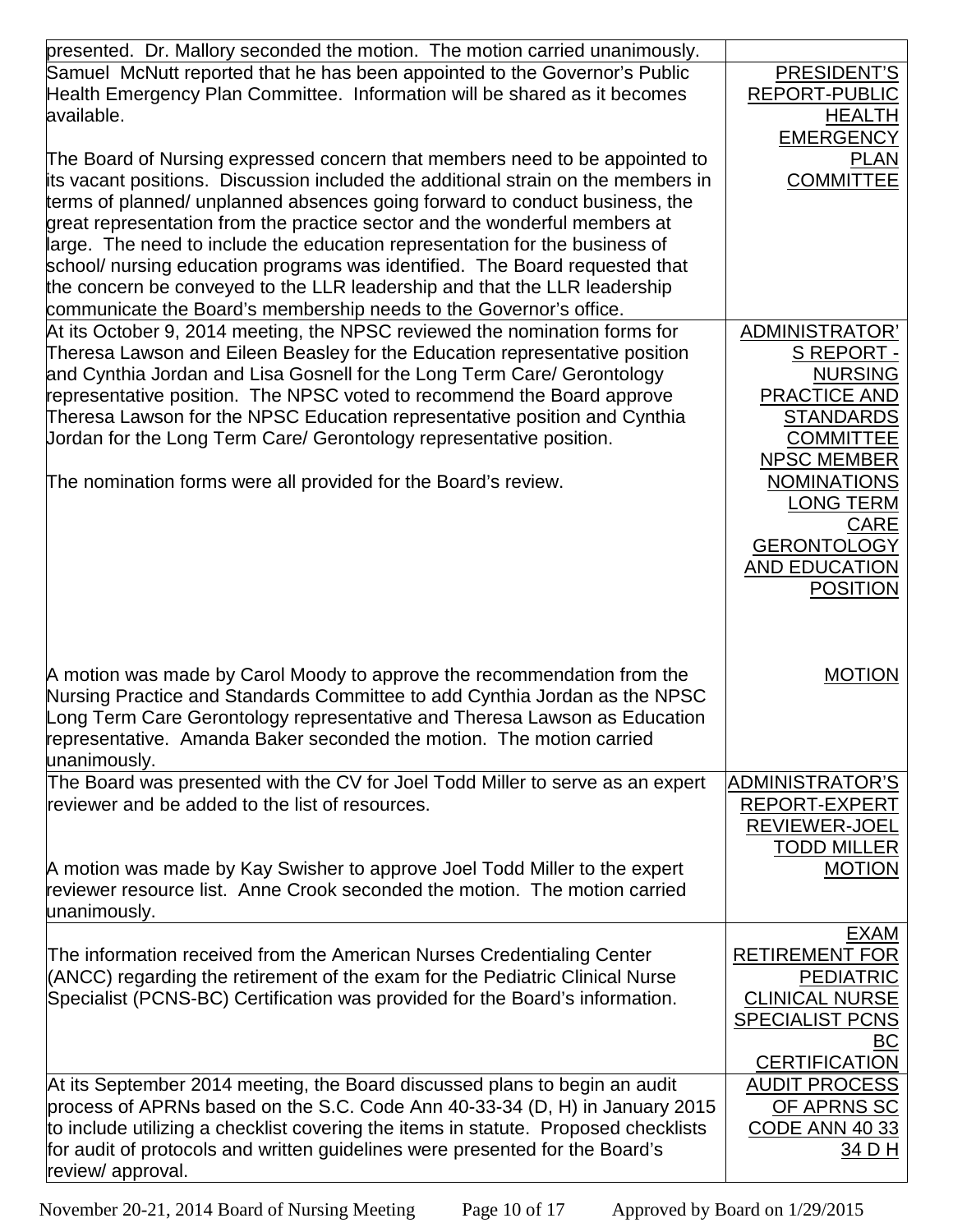| presented. Dr. Mallory seconded the motion. The motion carried unanimously.         |                        |
|-------------------------------------------------------------------------------------|------------------------|
| Samuel McNutt reported that he has been appointed to the Governor's Public          | PRESIDENT'S            |
| Health Emergency Plan Committee. Information will be shared as it becomes           | <b>REPORT-PUBLIC</b>   |
| available.                                                                          | <b>HEALTH</b>          |
|                                                                                     | <b>EMERGENCY</b>       |
| The Board of Nursing expressed concern that members need to be appointed to         | <b>PLAN</b>            |
| its vacant positions. Discussion included the additional strain on the members in   | <b>COMMITTEE</b>       |
| terms of planned/ unplanned absences going forward to conduct business, the         |                        |
| great representation from the practice sector and the wonderful members at          |                        |
| large. The need to include the education representation for the business of         |                        |
| school/ nursing education programs was identified. The Board requested that         |                        |
| the concern be conveyed to the LLR leadership and that the LLR leadership           |                        |
| communicate the Board's membership needs to the Governor's office.                  |                        |
| At its October 9, 2014 meeting, the NPSC reviewed the nomination forms for          | ADMINISTRATOR'         |
| Theresa Lawson and Eileen Beasley for the Education representative position         | S REPORT -             |
| and Cynthia Jordan and Lisa Gosnell for the Long Term Care/ Gerontology             | <b>NURSING</b>         |
| representative position. The NPSC voted to recommend the Board approve              | PRACTICE AND           |
| Theresa Lawson for the NPSC Education representative position and Cynthia           | <b>STANDARDS</b>       |
| Jordan for the Long Term Care/ Gerontology representative position.                 | <b>COMMITTEE</b>       |
|                                                                                     | <b>NPSC MEMBER</b>     |
| The nomination forms were all provided for the Board's review.                      | <b>NOMINATIONS</b>     |
|                                                                                     | <b>LONG TERM</b>       |
|                                                                                     | <b>CARE</b>            |
|                                                                                     | <b>GERONTOLOGY</b>     |
|                                                                                     | <b>AND EDUCATION</b>   |
|                                                                                     | <b>POSITION</b>        |
|                                                                                     |                        |
|                                                                                     |                        |
|                                                                                     |                        |
| A motion was made by Carol Moody to approve the recommendation from the             | <b>MOTION</b>          |
| Nursing Practice and Standards Committee to add Cynthia Jordan as the NPSC          |                        |
| Long Term Care Gerontology representative and Theresa Lawson as Education           |                        |
| representative. Amanda Baker seconded the motion. The motion carried                |                        |
| unanimously.                                                                        |                        |
| The Board was presented with the CV for Joel Todd Miller to serve as an expert      | <b>ADMINISTRATOR'S</b> |
| reviewer and be added to the list of resources.                                     | REPORT-EXPERT          |
|                                                                                     | <b>REVIEWER-JOEL</b>   |
|                                                                                     | <b>TODD MILLER</b>     |
| A motion was made by Kay Swisher to approve Joel Todd Miller to the expert          | <b>MOTION</b>          |
| reviewer resource list. Anne Crook seconded the motion. The motion carried          |                        |
| unanimously.                                                                        |                        |
|                                                                                     | <b>EXAM</b>            |
| The information received from the American Nurses Credentialing Center              | <b>RETIREMENT FOR</b>  |
| (ANCC) regarding the retirement of the exam for the Pediatric Clinical Nurse        | <b>PEDIATRIC</b>       |
| Specialist (PCNS-BC) Certification was provided for the Board's information.        | <b>CLINICAL NURSE</b>  |
|                                                                                     | <b>SPECIALIST PCNS</b> |
|                                                                                     | <u>BC</u>              |
|                                                                                     | <b>CERTIFICATION</b>   |
| At its September 2014 meeting, the Board discussed plans to begin an audit          | <b>AUDIT PROCESS</b>   |
| process of APRNs based on the S.C. Code Ann 40-33-34 (D, H) in January 2015         | OF APRNS SC            |
| to include utilizing a checklist covering the items in statute. Proposed checklists | <b>CODE ANN 40 33</b>  |
| for audit of protocols and written guidelines were presented for the Board's        | 34 D H                 |
| review/ approval.                                                                   |                        |

November 20-21, 2014 Board of Nursing Meeting Page 10 of 17 Approved by Board on 1/29/2015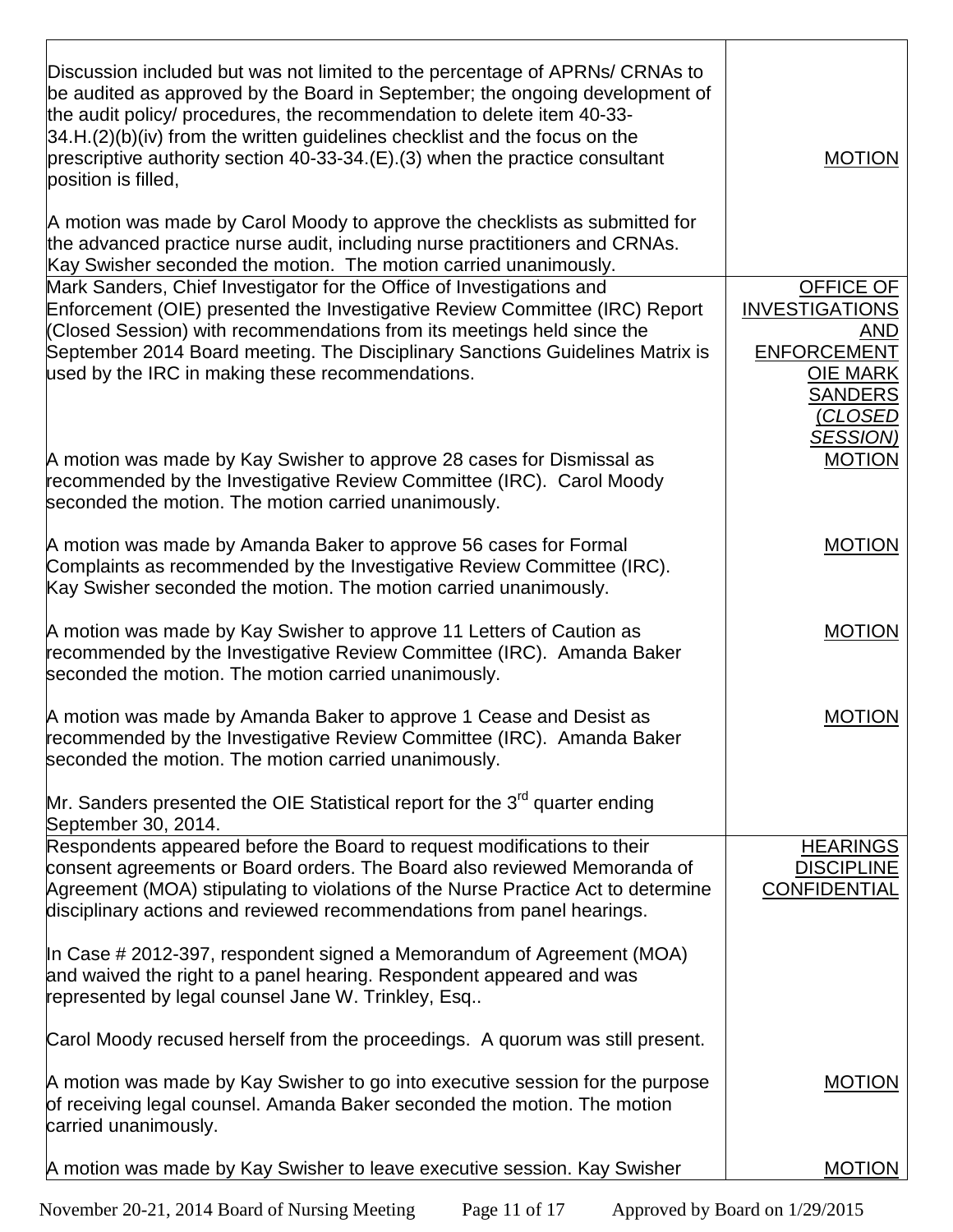| Discussion included but was not limited to the percentage of APRNs/ CRNAs to<br>be audited as approved by the Board in September; the ongoing development of<br>the audit policy/ procedures, the recommendation to delete item 40-33-<br>$34.H.(2)(b)(iv)$ from the written guidelines checklist and the focus on the<br>prescriptive authority section 40-33-34. $(E)$ . (3) when the practice consultant<br>position is filled, | <b>MOTION</b>                                                                                                                      |
|------------------------------------------------------------------------------------------------------------------------------------------------------------------------------------------------------------------------------------------------------------------------------------------------------------------------------------------------------------------------------------------------------------------------------------|------------------------------------------------------------------------------------------------------------------------------------|
| A motion was made by Carol Moody to approve the checklists as submitted for<br>the advanced practice nurse audit, including nurse practitioners and CRNAs.<br>Kay Swisher seconded the motion. The motion carried unanimously.                                                                                                                                                                                                     |                                                                                                                                    |
| Mark Sanders, Chief Investigator for the Office of Investigations and<br>Enforcement (OIE) presented the Investigative Review Committee (IRC) Report<br>(Closed Session) with recommendations from its meetings held since the<br>September 2014 Board meeting. The Disciplinary Sanctions Guidelines Matrix is<br>used by the IRC in making these recommendations.                                                                | OFFICE OF<br><b>INVESTIGATIONS</b><br><b>AND</b><br>ENFORCEMENT<br><b>OIE MARK</b><br><b>SANDERS</b><br>(CLOSED<br><b>SESSION)</b> |
| A motion was made by Kay Swisher to approve 28 cases for Dismissal as<br>recommended by the Investigative Review Committee (IRC). Carol Moody<br>seconded the motion. The motion carried unanimously.                                                                                                                                                                                                                              | <b>MOTION</b>                                                                                                                      |
| A motion was made by Amanda Baker to approve 56 cases for Formal<br>Complaints as recommended by the Investigative Review Committee (IRC).<br>Kay Swisher seconded the motion. The motion carried unanimously.                                                                                                                                                                                                                     | <b>MOTION</b>                                                                                                                      |
| A motion was made by Kay Swisher to approve 11 Letters of Caution as<br>recommended by the Investigative Review Committee (IRC). Amanda Baker<br>seconded the motion. The motion carried unanimously.                                                                                                                                                                                                                              | <b>MOTION</b>                                                                                                                      |
| A motion was made by Amanda Baker to approve 1 Cease and Desist as<br>recommended by the Investigative Review Committee (IRC). Amanda Baker<br>seconded the motion. The motion carried unanimously.                                                                                                                                                                                                                                | <b>MOTION</b>                                                                                                                      |
| Mr. Sanders presented the OIE Statistical report for the 3 <sup>rd</sup> quarter ending<br>September 30, 2014.                                                                                                                                                                                                                                                                                                                     |                                                                                                                                    |
| Respondents appeared before the Board to request modifications to their<br>consent agreements or Board orders. The Board also reviewed Memoranda of<br>Agreement (MOA) stipulating to violations of the Nurse Practice Act to determine<br>disciplinary actions and reviewed recommendations from panel hearings.                                                                                                                  | <b>HEARINGS</b><br><b>DISCIPLINE</b><br><b>CONFIDENTIAL</b>                                                                        |
| In Case $\#$ 2012-397, respondent signed a Memorandum of Agreement (MOA)<br>and waived the right to a panel hearing. Respondent appeared and was<br>represented by legal counsel Jane W. Trinkley, Esq                                                                                                                                                                                                                             |                                                                                                                                    |
| Carol Moody recused herself from the proceedings. A quorum was still present.                                                                                                                                                                                                                                                                                                                                                      |                                                                                                                                    |
| A motion was made by Kay Swisher to go into executive session for the purpose<br>of receiving legal counsel. Amanda Baker seconded the motion. The motion<br>carried unanimously.                                                                                                                                                                                                                                                  | <b>MOTION</b>                                                                                                                      |
| A motion was made by Kay Swisher to leave executive session. Kay Swisher                                                                                                                                                                                                                                                                                                                                                           | <b>MOTION</b>                                                                                                                      |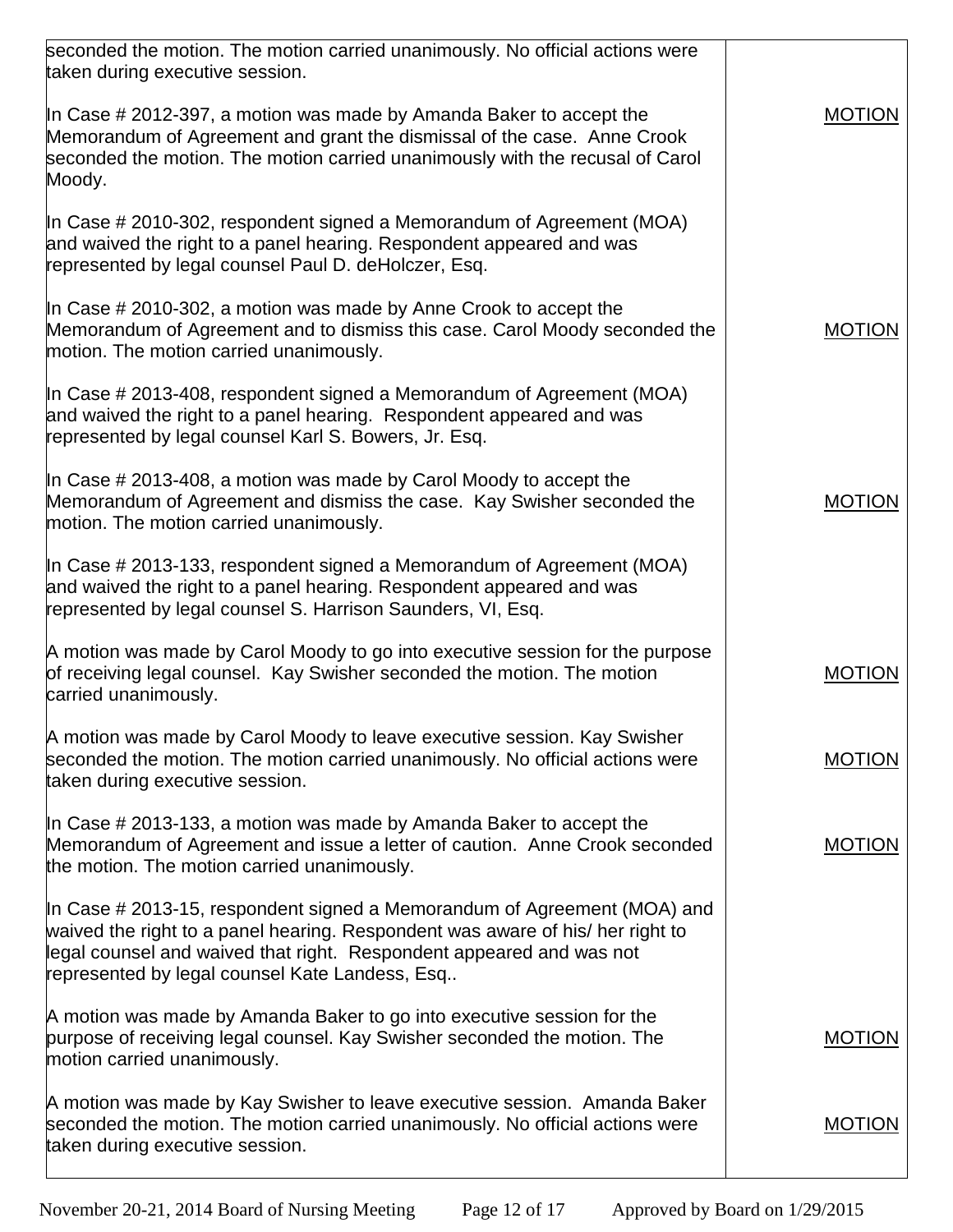| seconded the motion. The motion carried unanimously. No official actions were<br>taken during executive session.                                                                                                                                                                     |               |
|--------------------------------------------------------------------------------------------------------------------------------------------------------------------------------------------------------------------------------------------------------------------------------------|---------------|
| In Case $\#$ 2012-397, a motion was made by Amanda Baker to accept the<br>Memorandum of Agreement and grant the dismissal of the case. Anne Crook<br>seconded the motion. The motion carried unanimously with the recusal of Carol<br>Moody.                                         | <b>MOTION</b> |
| In Case # 2010-302, respondent signed a Memorandum of Agreement (MOA)<br>and waived the right to a panel hearing. Respondent appeared and was<br>represented by legal counsel Paul D. deHolczer, Esq.                                                                                |               |
| In Case $\#$ 2010-302, a motion was made by Anne Crook to accept the<br>Memorandum of Agreement and to dismiss this case. Carol Moody seconded the<br>motion. The motion carried unanimously.                                                                                        | MOTION        |
| In Case $\#$ 2013-408, respondent signed a Memorandum of Agreement (MOA)<br>and waived the right to a panel hearing. Respondent appeared and was<br>represented by legal counsel Karl S. Bowers, Jr. Esq.                                                                            |               |
| In Case $\#$ 2013-408, a motion was made by Carol Moody to accept the<br>Memorandum of Agreement and dismiss the case. Kay Swisher seconded the<br>motion. The motion carried unanimously.                                                                                           | <b>MOTION</b> |
| In Case # 2013-133, respondent signed a Memorandum of Agreement (MOA)<br>and waived the right to a panel hearing. Respondent appeared and was<br>represented by legal counsel S. Harrison Saunders, VI, Esq.                                                                         |               |
| A motion was made by Carol Moody to go into executive session for the purpose<br>of receiving legal counsel. Kay Swisher seconded the motion. The motion<br>carried unanimously.                                                                                                     | <b>MOTION</b> |
| A motion was made by Carol Moody to leave executive session. Kay Swisher<br>seconded the motion. The motion carried unanimously. No official actions were<br>taken during executive session.                                                                                         | <b>MOTION</b> |
| In Case $\#$ 2013-133, a motion was made by Amanda Baker to accept the<br>Memorandum of Agreement and issue a letter of caution. Anne Crook seconded<br>the motion. The motion carried unanimously.                                                                                  | <b>MOTION</b> |
| In Case # 2013-15, respondent signed a Memorandum of Agreement (MOA) and<br>waived the right to a panel hearing. Respondent was aware of his/ her right to<br>legal counsel and waived that right. Respondent appeared and was not<br>represented by legal counsel Kate Landess, Esq |               |
| A motion was made by Amanda Baker to go into executive session for the<br>purpose of receiving legal counsel. Kay Swisher seconded the motion. The<br>motion carried unanimously.                                                                                                    | <b>MOTION</b> |
| A motion was made by Kay Swisher to leave executive session. Amanda Baker<br>seconded the motion. The motion carried unanimously. No official actions were<br>taken during executive session.                                                                                        | <b>MOTION</b> |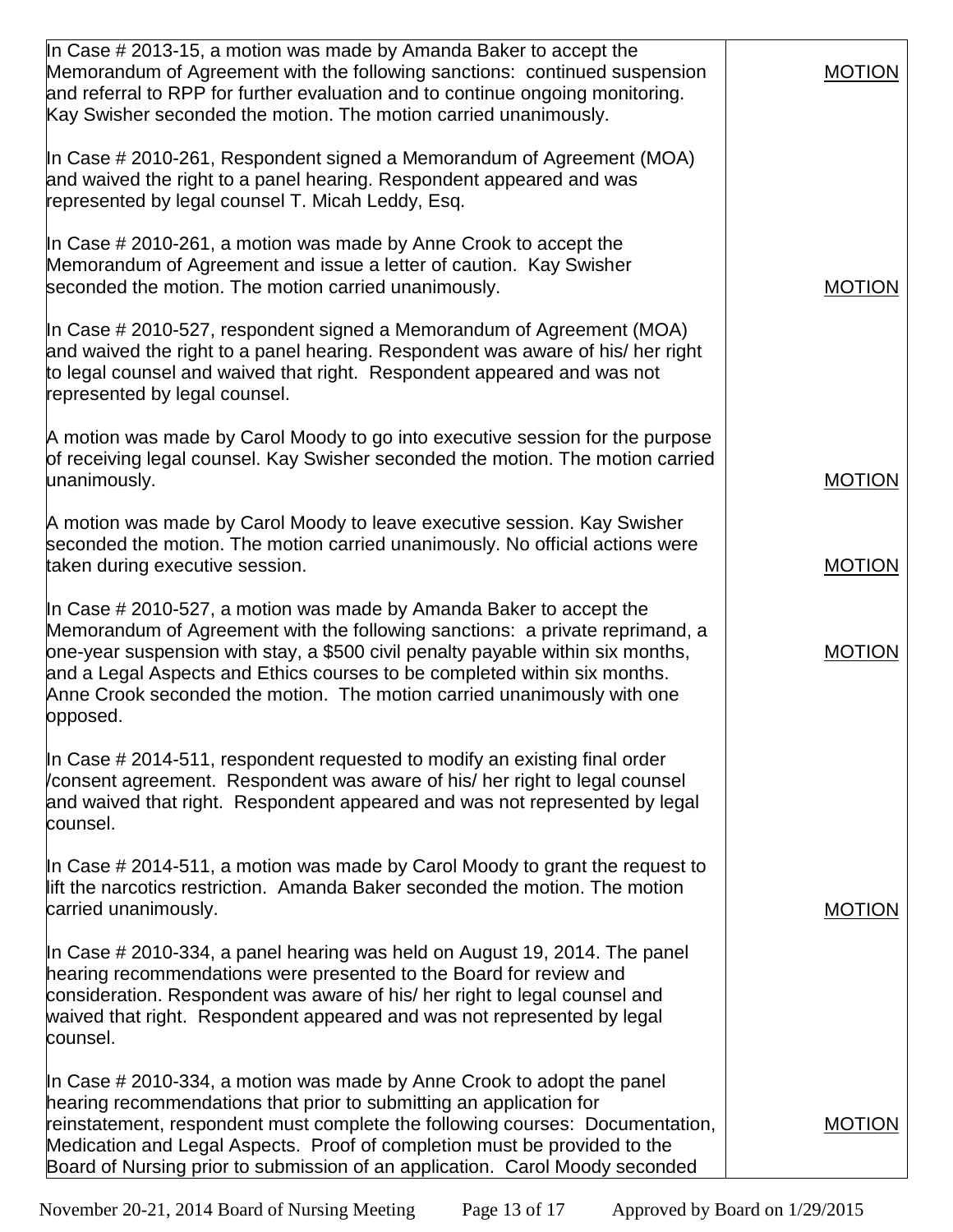| In Case $\#$ 2013-15, a motion was made by Amanda Baker to accept the<br>Memorandum of Agreement with the following sanctions: continued suspension<br>and referral to RPP for further evaluation and to continue ongoing monitoring.<br>Kay Swisher seconded the motion. The motion carried unanimously.                                                                                                  | <b>MOTION</b> |
|------------------------------------------------------------------------------------------------------------------------------------------------------------------------------------------------------------------------------------------------------------------------------------------------------------------------------------------------------------------------------------------------------------|---------------|
| In Case # 2010-261, Respondent signed a Memorandum of Agreement (MOA)<br>and waived the right to a panel hearing. Respondent appeared and was<br>represented by legal counsel T. Micah Leddy, Esq.                                                                                                                                                                                                         |               |
| In Case $\#$ 2010-261, a motion was made by Anne Crook to accept the<br>Memorandum of Agreement and issue a letter of caution. Kay Swisher<br>seconded the motion. The motion carried unanimously.                                                                                                                                                                                                         | <b>MOTION</b> |
| In Case # 2010-527, respondent signed a Memorandum of Agreement (MOA)<br>and waived the right to a panel hearing. Respondent was aware of his/ her right<br>to legal counsel and waived that right. Respondent appeared and was not<br>represented by legal counsel.                                                                                                                                       |               |
| A motion was made by Carol Moody to go into executive session for the purpose<br>of receiving legal counsel. Kay Swisher seconded the motion. The motion carried<br>unanimously.                                                                                                                                                                                                                           | <b>MOTION</b> |
| A motion was made by Carol Moody to leave executive session. Kay Swisher<br>seconded the motion. The motion carried unanimously. No official actions were<br>taken during executive session.                                                                                                                                                                                                               | <b>MOTION</b> |
| In Case # 2010-527, a motion was made by Amanda Baker to accept the<br>Memorandum of Agreement with the following sanctions: a private reprimand, a<br>one-year suspension with stay, a \$500 civil penalty payable within six months,<br>and a Legal Aspects and Ethics courses to be completed within six months.<br>Anne Crook seconded the motion. The motion carried unanimously with one<br>opposed. | <b>MOTION</b> |
| In Case $\#$ 2014-511, respondent requested to modify an existing final order<br>/consent agreement. Respondent was aware of his/ her right to legal counsel<br>and waived that right. Respondent appeared and was not represented by legal<br>counsel.                                                                                                                                                    |               |
| In Case $\#$ 2014-511, a motion was made by Carol Moody to grant the request to<br>lift the narcotics restriction. Amanda Baker seconded the motion. The motion<br>carried unanimously.                                                                                                                                                                                                                    | <b>MOTION</b> |
| In Case # 2010-334, a panel hearing was held on August 19, 2014. The panel<br>hearing recommendations were presented to the Board for review and<br>consideration. Respondent was aware of his/ her right to legal counsel and<br>waived that right. Respondent appeared and was not represented by legal<br>counsel.                                                                                      |               |
| In Case $\#$ 2010-334, a motion was made by Anne Crook to adopt the panel<br>hearing recommendations that prior to submitting an application for<br>reinstatement, respondent must complete the following courses: Documentation,<br>Medication and Legal Aspects. Proof of completion must be provided to the<br>Board of Nursing prior to submission of an application. Carol Moody seconded             | <b>MOTION</b> |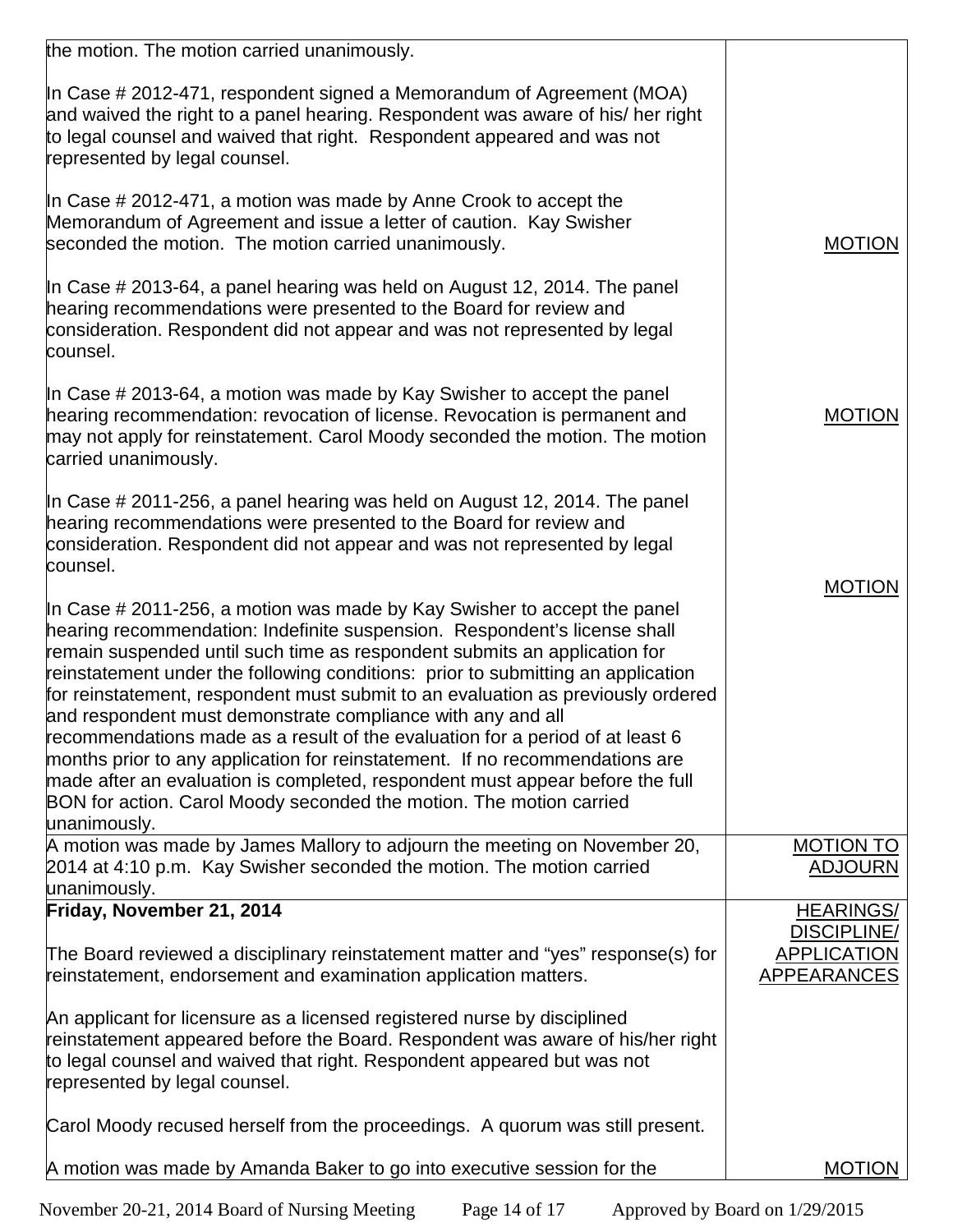| the motion. The motion carried unanimously.                                                                                                                                                                                                                                                                                                                                                                                                                                                                                                                                                                                                                                                                                                                                                                        |                                          |
|--------------------------------------------------------------------------------------------------------------------------------------------------------------------------------------------------------------------------------------------------------------------------------------------------------------------------------------------------------------------------------------------------------------------------------------------------------------------------------------------------------------------------------------------------------------------------------------------------------------------------------------------------------------------------------------------------------------------------------------------------------------------------------------------------------------------|------------------------------------------|
| In Case # 2012-471, respondent signed a Memorandum of Agreement (MOA)<br>and waived the right to a panel hearing. Respondent was aware of his/ her right<br>to legal counsel and waived that right. Respondent appeared and was not<br>represented by legal counsel.                                                                                                                                                                                                                                                                                                                                                                                                                                                                                                                                               |                                          |
| In Case # 2012-471, a motion was made by Anne Crook to accept the<br>Memorandum of Agreement and issue a letter of caution. Kay Swisher<br>seconded the motion. The motion carried unanimously.                                                                                                                                                                                                                                                                                                                                                                                                                                                                                                                                                                                                                    | <b>MOTION</b>                            |
| In Case # 2013-64, a panel hearing was held on August 12, 2014. The panel<br>hearing recommendations were presented to the Board for review and<br>consideration. Respondent did not appear and was not represented by legal<br>counsel.                                                                                                                                                                                                                                                                                                                                                                                                                                                                                                                                                                           |                                          |
| In Case $\#$ 2013-64, a motion was made by Kay Swisher to accept the panel<br>hearing recommendation: revocation of license. Revocation is permanent and<br>may not apply for reinstatement. Carol Moody seconded the motion. The motion<br>carried unanimously.                                                                                                                                                                                                                                                                                                                                                                                                                                                                                                                                                   | <b>MOTION</b>                            |
| In Case # 2011-256, a panel hearing was held on August 12, 2014. The panel<br>hearing recommendations were presented to the Board for review and<br>consideration. Respondent did not appear and was not represented by legal<br>counsel.                                                                                                                                                                                                                                                                                                                                                                                                                                                                                                                                                                          |                                          |
| In Case # 2011-256, a motion was made by Kay Swisher to accept the panel<br>hearing recommendation: Indefinite suspension. Respondent's license shall<br>remain suspended until such time as respondent submits an application for<br>reinstatement under the following conditions: prior to submitting an application<br>for reinstatement, respondent must submit to an evaluation as previously ordered<br>and respondent must demonstrate compliance with any and all<br>recommendations made as a result of the evaluation for a period of at least 6<br>months prior to any application for reinstatement. If no recommendations are<br>made after an evaluation is completed, respondent must appear before the full<br>BON for action. Carol Moody seconded the motion. The motion carried<br>unanimously. | <b>MOTION</b>                            |
| A motion was made by James Mallory to adjourn the meeting on November 20,<br>2014 at 4:10 p.m. Kay Swisher seconded the motion. The motion carried                                                                                                                                                                                                                                                                                                                                                                                                                                                                                                                                                                                                                                                                 | <b>MOTION TO</b><br><b>ADJOURN</b>       |
| unanimously.                                                                                                                                                                                                                                                                                                                                                                                                                                                                                                                                                                                                                                                                                                                                                                                                       |                                          |
| Friday, November 21, 2014                                                                                                                                                                                                                                                                                                                                                                                                                                                                                                                                                                                                                                                                                                                                                                                          | <b>HEARINGS/</b><br><b>DISCIPLINE/</b>   |
| The Board reviewed a disciplinary reinstatement matter and "yes" response(s) for<br>reinstatement, endorsement and examination application matters.                                                                                                                                                                                                                                                                                                                                                                                                                                                                                                                                                                                                                                                                | <b>APPLICATION</b><br><b>APPEARANCES</b> |
| An applicant for licensure as a licensed registered nurse by disciplined<br>reinstatement appeared before the Board. Respondent was aware of his/her right<br>to legal counsel and waived that right. Respondent appeared but was not<br>represented by legal counsel.                                                                                                                                                                                                                                                                                                                                                                                                                                                                                                                                             |                                          |
| Carol Moody recused herself from the proceedings. A quorum was still present.                                                                                                                                                                                                                                                                                                                                                                                                                                                                                                                                                                                                                                                                                                                                      |                                          |
| A motion was made by Amanda Baker to go into executive session for the                                                                                                                                                                                                                                                                                                                                                                                                                                                                                                                                                                                                                                                                                                                                             | <b>MOTION</b>                            |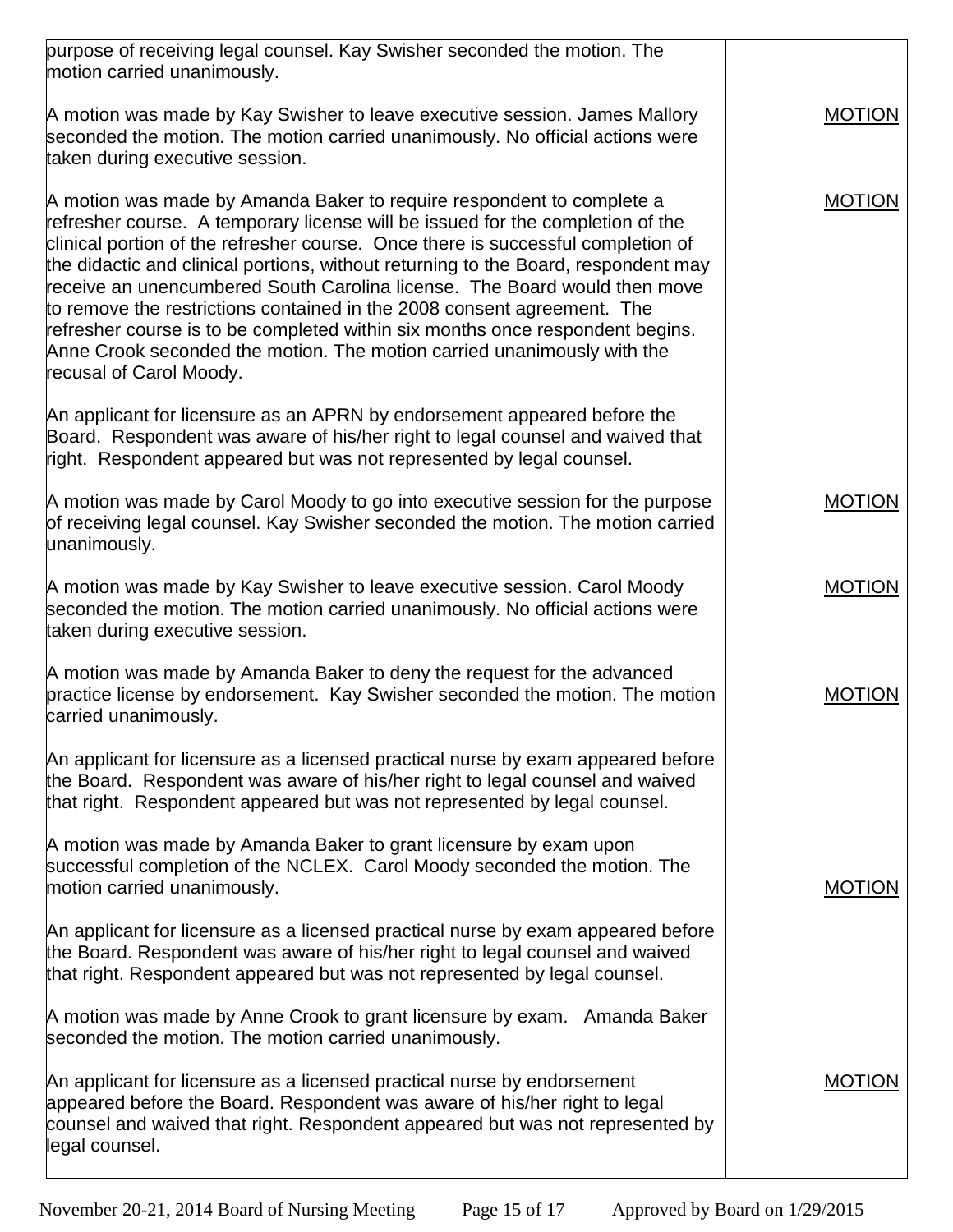| purpose of receiving legal counsel. Kay Swisher seconded the motion. The<br>motion carried unanimously.                                                                                                                                                                                                                                                                                                                                                                                                                                                                                                                                                                          |               |
|----------------------------------------------------------------------------------------------------------------------------------------------------------------------------------------------------------------------------------------------------------------------------------------------------------------------------------------------------------------------------------------------------------------------------------------------------------------------------------------------------------------------------------------------------------------------------------------------------------------------------------------------------------------------------------|---------------|
| A motion was made by Kay Swisher to leave executive session. James Mallory<br>seconded the motion. The motion carried unanimously. No official actions were<br>taken during executive session.                                                                                                                                                                                                                                                                                                                                                                                                                                                                                   | <b>MOTION</b> |
| A motion was made by Amanda Baker to require respondent to complete a<br>refresher course. A temporary license will be issued for the completion of the<br>clinical portion of the refresher course. Once there is successful completion of<br>the didactic and clinical portions, without returning to the Board, respondent may<br>receive an unencumbered South Carolina license. The Board would then move<br>to remove the restrictions contained in the 2008 consent agreement. The<br>refresher course is to be completed within six months once respondent begins.<br>Anne Crook seconded the motion. The motion carried unanimously with the<br>recusal of Carol Moody. | <b>MOTION</b> |
| An applicant for licensure as an APRN by endorsement appeared before the<br>Board. Respondent was aware of his/her right to legal counsel and waived that<br>right. Respondent appeared but was not represented by legal counsel.                                                                                                                                                                                                                                                                                                                                                                                                                                                |               |
| A motion was made by Carol Moody to go into executive session for the purpose<br>of receiving legal counsel. Kay Swisher seconded the motion. The motion carried<br>unanimously.                                                                                                                                                                                                                                                                                                                                                                                                                                                                                                 | <b>MOTION</b> |
| A motion was made by Kay Swisher to leave executive session. Carol Moody<br>seconded the motion. The motion carried unanimously. No official actions were<br>taken during executive session.                                                                                                                                                                                                                                                                                                                                                                                                                                                                                     | <b>MOTION</b> |
| A motion was made by Amanda Baker to deny the request for the advanced<br>practice license by endorsement. Kay Swisher seconded the motion. The motion<br>carried unanimously.                                                                                                                                                                                                                                                                                                                                                                                                                                                                                                   | <b>MOTION</b> |
| An applicant for licensure as a licensed practical nurse by exam appeared before<br>the Board. Respondent was aware of his/her right to legal counsel and waived<br>that right. Respondent appeared but was not represented by legal counsel.                                                                                                                                                                                                                                                                                                                                                                                                                                    |               |
| A motion was made by Amanda Baker to grant licensure by exam upon<br>successful completion of the NCLEX. Carol Moody seconded the motion. The<br>motion carried unanimously.                                                                                                                                                                                                                                                                                                                                                                                                                                                                                                     | <b>MOTION</b> |
| An applicant for licensure as a licensed practical nurse by exam appeared before<br>the Board. Respondent was aware of his/her right to legal counsel and waived<br>that right. Respondent appeared but was not represented by legal counsel.                                                                                                                                                                                                                                                                                                                                                                                                                                    |               |
| A motion was made by Anne Crook to grant licensure by exam. Amanda Baker<br>seconded the motion. The motion carried unanimously.                                                                                                                                                                                                                                                                                                                                                                                                                                                                                                                                                 |               |
| An applicant for licensure as a licensed practical nurse by endorsement<br>appeared before the Board. Respondent was aware of his/her right to legal<br>counsel and waived that right. Respondent appeared but was not represented by<br>legal counsel.                                                                                                                                                                                                                                                                                                                                                                                                                          | <b>MOTION</b> |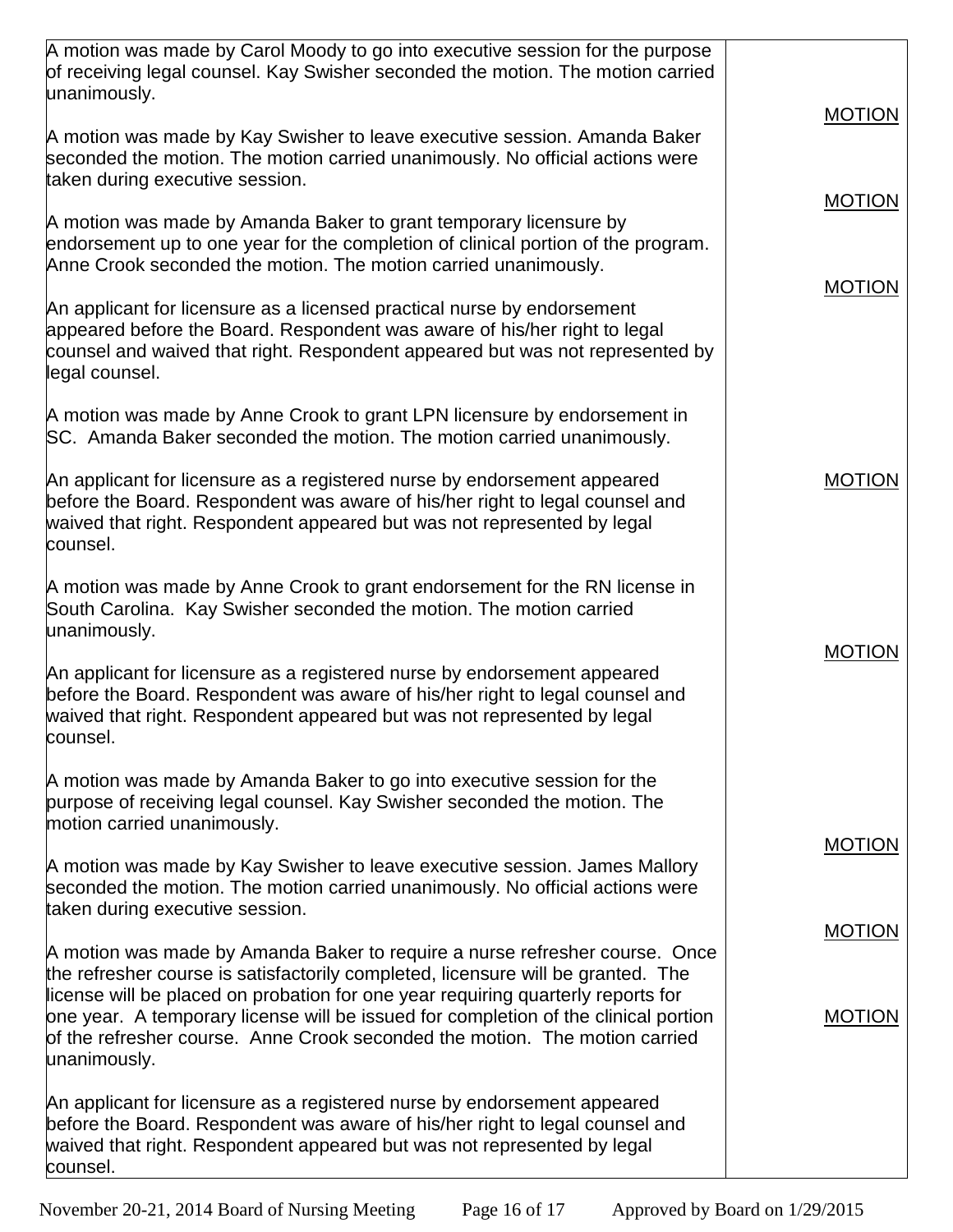| A motion was made by Carol Moody to go into executive session for the purpose<br>of receiving legal counsel. Kay Swisher seconded the motion. The motion carried                                                                                                                                                                                           |                                |
|------------------------------------------------------------------------------------------------------------------------------------------------------------------------------------------------------------------------------------------------------------------------------------------------------------------------------------------------------------|--------------------------------|
| unanimously.                                                                                                                                                                                                                                                                                                                                               | <b>MOTION</b>                  |
| A motion was made by Kay Swisher to leave executive session. Amanda Baker<br>seconded the motion. The motion carried unanimously. No official actions were<br>taken during executive session.                                                                                                                                                              |                                |
| A motion was made by Amanda Baker to grant temporary licensure by<br>endorsement up to one year for the completion of clinical portion of the program.<br>Anne Crook seconded the motion. The motion carried unanimously.                                                                                                                                  | <b>MOTION</b><br><b>MOTION</b> |
| An applicant for licensure as a licensed practical nurse by endorsement<br>appeared before the Board. Respondent was aware of his/her right to legal<br>counsel and waived that right. Respondent appeared but was not represented by<br>legal counsel.                                                                                                    |                                |
| A motion was made by Anne Crook to grant LPN licensure by endorsement in<br>SC. Amanda Baker seconded the motion. The motion carried unanimously.                                                                                                                                                                                                          |                                |
| An applicant for licensure as a registered nurse by endorsement appeared<br>before the Board. Respondent was aware of his/her right to legal counsel and<br>waived that right. Respondent appeared but was not represented by legal<br>counsel.                                                                                                            | <b>MOTION</b>                  |
| A motion was made by Anne Crook to grant endorsement for the RN license in<br>South Carolina. Kay Swisher seconded the motion. The motion carried<br>unanimously.                                                                                                                                                                                          |                                |
| An applicant for licensure as a registered nurse by endorsement appeared<br>before the Board. Respondent was aware of his/her right to legal counsel and<br>waived that right. Respondent appeared but was not represented by legal<br>counsel.                                                                                                            | <b>MOTION</b>                  |
| A motion was made by Amanda Baker to go into executive session for the<br>purpose of receiving legal counsel. Kay Swisher seconded the motion. The<br>motion carried unanimously.                                                                                                                                                                          |                                |
| A motion was made by Kay Swisher to leave executive session. James Mallory<br>seconded the motion. The motion carried unanimously. No official actions were<br>taken during executive session.                                                                                                                                                             | <b>MOTION</b>                  |
| A motion was made by Amanda Baker to require a nurse refresher course. Once                                                                                                                                                                                                                                                                                | <b>MOTION</b>                  |
| the refresher course is satisfactorily completed, licensure will be granted. The<br>license will be placed on probation for one year requiring quarterly reports for<br>one year. A temporary license will be issued for completion of the clinical portion<br>of the refresher course. Anne Crook seconded the motion. The motion carried<br>unanimously. | <b>MOTION</b>                  |
| An applicant for licensure as a registered nurse by endorsement appeared<br>before the Board. Respondent was aware of his/her right to legal counsel and<br>waived that right. Respondent appeared but was not represented by legal<br>counsel.                                                                                                            |                                |